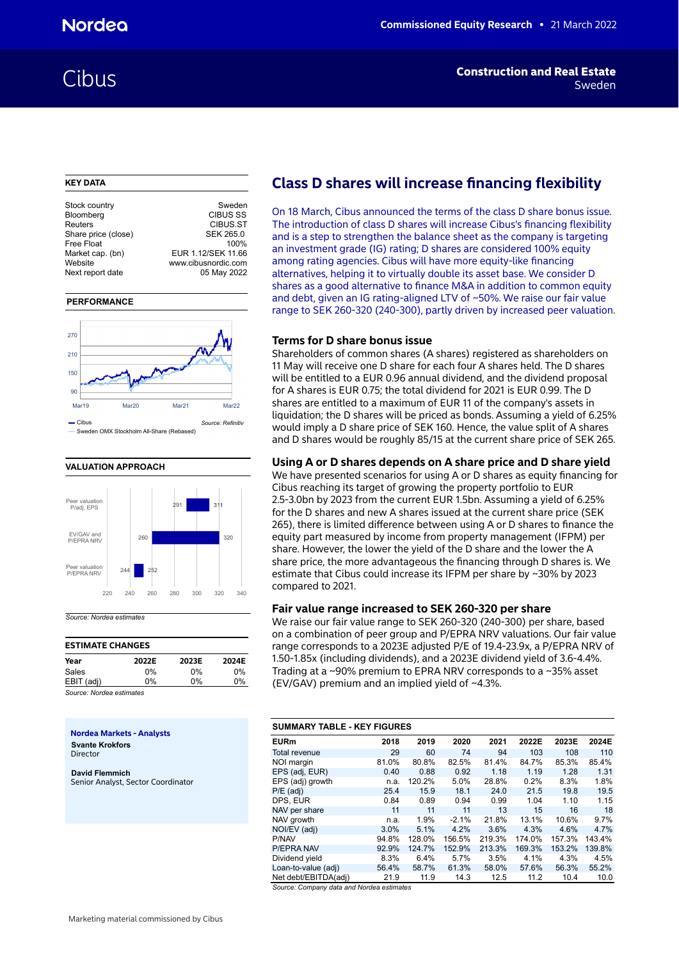### **KEY DATA**

| Stock country       | Sweden              |
|---------------------|---------------------|
| Bloomberg           | <b>CIBUS SS</b>     |
| Reuters             | CIBUS.ST            |
| Share price (close) | <b>SEK 265.0</b>    |
| Free Float          | 100%                |
| Market cap. (bn)    | EUR 1.12/SEK 11.66  |
| Website             | www.cibusnordic.com |
| Next report date    | 05 May 2022         |
|                     |                     |

### **PERFORMANCE**



### **VALUATION APPROACH**



## *Source: Nordea estimates*

| <b>ESTIMATE CHANGES</b> |       |       |       |  |  |  |  |  |  |  |  |  |
|-------------------------|-------|-------|-------|--|--|--|--|--|--|--|--|--|
| Year                    | 2022E | 2023E | 2024E |  |  |  |  |  |  |  |  |  |
| Sales                   | $0\%$ | $0\%$ | $0\%$ |  |  |  |  |  |  |  |  |  |
| EBIT (adj)              | በ%    | በ%    | 0%    |  |  |  |  |  |  |  |  |  |
|                         |       |       |       |  |  |  |  |  |  |  |  |  |

*Source: Nordea estimates*

**Nordea Markets - Analysts Svante Krokfors**

Director

**David Flemmich** Senior Analyst, Sector Coordinator

## **Class D shares will increase financing flexibility**

On 18 March, Cibus announced the terms of the class D share bonus issue. The introduction of class D shares will increase Cibus's financing flexibility and is a step to strengthen the balance sheet as the company is targeting an investment grade (IG) rating; D shares are considered 100% equity among rating agencies. Cibus will have more equity-like financing alternatives, helping it to virtually double its asset base. We consider D shares as a good alternative to finance M&A in addition to common equity and debt, given an IG rating-aligned LTV of ~50%. We raise our fair value range to SEK 260-320 (240-300), partly driven by increased peer valuation.

## **Terms for D share bonus issue**

Shareholders of common shares (A shares) registered as shareholders on 11 May will receive one D share for each four A shares held. The D shares will be entitled to a EUR 0.96 annual dividend, and the dividend proposal for A shares is EUR 0.75; the total dividend for 2021 is EUR 0.99. The D shares are entitled to a maximum of EUR 11 of the company's assets in liquidation; the D shares will be priced as bonds. Assuming a yield of 6.25% would imply a D share price of SEK 160. Hence, the value split of A shares and D shares would be roughly 85/15 at the current share price of SEK 265.

## **Using A or D shares depends on A share price and D share yield**

We have presented scenarios for using A or D shares as equity financing for Cibus reaching its target of growing the property portfolio to EUR 2.5-3.0bn by 2023 from the current EUR 1.5bn. Assuming a yield of 6.25% for the D shares and new A shares issued at the current share price (SEK 265), there is limited difference between using A or D shares to finance the equity part measured by income from property management (IFPM) per share. However, the lower the yield of the D share and the lower the A share price, the more advantageous the financing through D shares is. We estimate that Cibus could increase its IFPM per share by ~30% by 2023 compared to 2021.

## **Fair value range increased to SEK 260-320 per share**

We raise our fair value range to SEK 260-320 (240-300) per share, based on a combination of peer group and P/EPRA NRV valuations. Our fair value range corresponds to a 2023E adjusted P/E of 19.4-23.9x, a P/EPRA NRV of 1.50-1.85x (including dividends), and a 2023E dividend yield of 3.6-4.4%. Trading at a ~90% premium to EPRA NRV corresponds to a ~35% asset (EV/GAV) premium and an implied yield of ~4.3%.

| <b>SUMMARY TABLE - KEY FIGURES</b> |  |  |  |  |  |  |  |  |  |  |  |  |  |
|------------------------------------|--|--|--|--|--|--|--|--|--|--|--|--|--|
| 2024E                              |  |  |  |  |  |  |  |  |  |  |  |  |  |
| 110                                |  |  |  |  |  |  |  |  |  |  |  |  |  |
| 85.4%                              |  |  |  |  |  |  |  |  |  |  |  |  |  |
| 1.31                               |  |  |  |  |  |  |  |  |  |  |  |  |  |
| 1.8%                               |  |  |  |  |  |  |  |  |  |  |  |  |  |
| 19.5                               |  |  |  |  |  |  |  |  |  |  |  |  |  |
| 1.15                               |  |  |  |  |  |  |  |  |  |  |  |  |  |
| 18                                 |  |  |  |  |  |  |  |  |  |  |  |  |  |
| 9.7%                               |  |  |  |  |  |  |  |  |  |  |  |  |  |
| 4.7%                               |  |  |  |  |  |  |  |  |  |  |  |  |  |
| 143.4%                             |  |  |  |  |  |  |  |  |  |  |  |  |  |
| 139.8%                             |  |  |  |  |  |  |  |  |  |  |  |  |  |
| 4.5%                               |  |  |  |  |  |  |  |  |  |  |  |  |  |
| 55.2%                              |  |  |  |  |  |  |  |  |  |  |  |  |  |
| 10.0                               |  |  |  |  |  |  |  |  |  |  |  |  |  |
|                                    |  |  |  |  |  |  |  |  |  |  |  |  |  |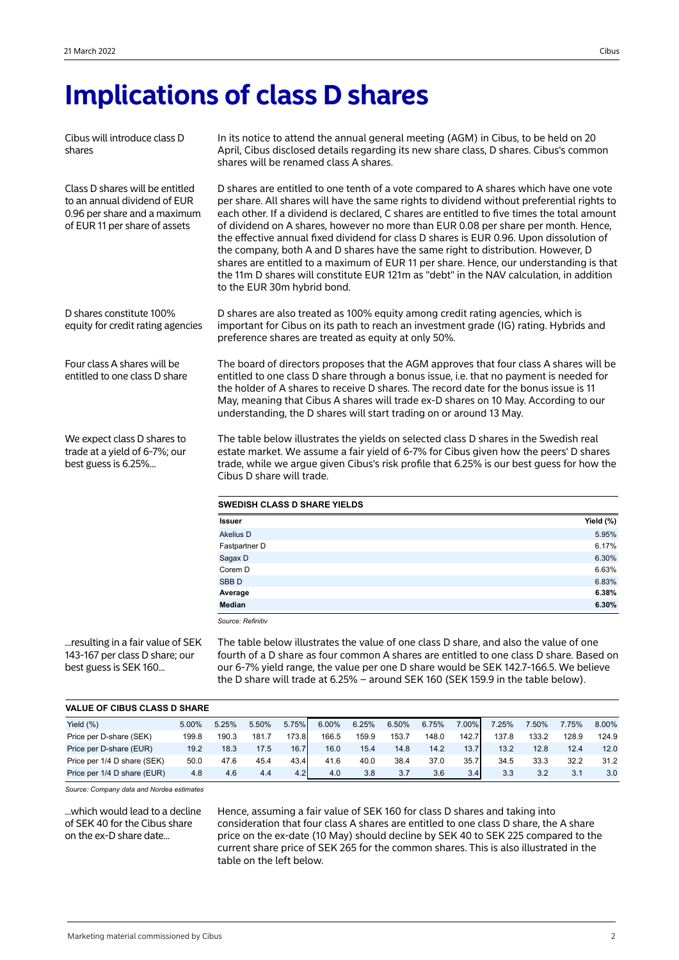## **Implications of class D shares**

Cibus will introduce class D shares

Class D shares will be entitled to an annual dividend of EUR 0.96 per share and a maximum of EUR 11 per share of assets

In its notice to attend the annual general meeting (AGM) in Cibus, to be held on 20 April, Cibus disclosed details regarding its new share class, D shares. Cibus's common shares will be renamed class A shares.

D shares are entitled to one tenth of a vote compared to A shares which have one vote per share. All shares will have the same rights to dividend without preferential rights to each other. If a dividend is declared, C shares are entitled to five times the total amount of dividend on A shares, however no more than EUR 0.08 per share per month. Hence, the effective annual fixed dividend for class D shares is EUR 0.96. Upon dissolution of the company, both A and D shares have the same right to distribution. However, D shares are entitled to a maximum of EUR 11 per share. Hence, our understanding is that the 11m D shares will constitute EUR 121m as "debt" in the NAV calculation, in addition to the EUR 30m hybrid bond.

D shares constitute 100% equity for credit rating agencies D shares are also treated as 100% equity among credit rating agencies, which is important for Cibus on its path to reach an investment grade (IG) rating. Hybrids and preference shares are treated as equity at only 50%.

> The board of directors proposes that the AGM approves that four class A shares will be entitled to one class D share through a bonus issue, i.e. that no payment is needed for the holder of A shares to receive D shares. The record date for the bonus issue is 11 May, meaning that Cibus A shares will trade ex-D shares on 10 May. According to our understanding, the D shares will start trading on or around 13 May.

We expect class D shares to trade at a yield of 6-7%; our best guess is 6.25%...

Four class A shares will be entitled to one class D share

> The table below illustrates the yields on selected class D shares in the Swedish real estate market. We assume a fair yield of 6-7% for Cibus given how the peers' D shares trade, while we argue given Cibus's risk profile that 6.25% is our best guess for how the Cibus D share will trade.

| <b>SWEDISH CLASS D SHARE YIELDS</b> |           |
|-------------------------------------|-----------|
| <b>Issuer</b>                       | Yield (%) |
| Akelius D                           | 5.95%     |
| Fastpartner D                       | 6.17%     |
| Sagax D                             | 6.30%     |
| Corem D                             | 6.63%     |
| SBB <sub>D</sub>                    | 6.83%     |
| Average                             | 6.38%     |
| <b>Median</b>                       | 6.30%     |

*Source: Refinitiv*

...resulting in a fair value of SEK 143-167 per class D share; our best guess is SEK 160...

The table below illustrates the value of one class D share, and also the value of one fourth of a D share as four common A shares are entitled to one class D share. Based on our 6-7% yield range, the value per one D share would be SEK 142.7-166.5. We believe the D share will trade at 6.25% – around SEK 160 (SEK 159.9 in the table below).

| <b>VALUE OF CIBUS CLASS D SHARE</b> |       |       |       |                  |       |       |       |       |                  |       |       |       |       |
|-------------------------------------|-------|-------|-------|------------------|-------|-------|-------|-------|------------------|-------|-------|-------|-------|
| Yield $(\%)$                        | 5.00% | 5.25% | 5.50% | 5.75%            | 6.00% | 6.25% | 6.50% | 6.75% | 7.00%            | 7.25% | 7.50% | 7.75% | 8.00% |
| Price per D-share (SEK)             | 199.8 | 190.3 | 181.7 | 173.8            | 166.5 | 159.9 | 153.7 | 148.0 | 142.7            | 137.8 | 133.2 | 128.9 | 124.9 |
| Price per D-share (EUR)             | 19.2  | 18.3  | 17.5  | 16.7             | 16.0  | 15.4  | 14.8  | 14.2  | 13.7             | 13.2  | 12.8  | 12.4  | 12.0  |
| Price per 1/4 D share (SEK)         | 50.0  | 47.6  | 45.4  | 43.4             | 41.6  | 40.0  | 38.4  | 37.0  | 35.7             | 34.5  | 33.3  | 32.2  | 31.2  |
| Price per 1/4 D share (EUR)         | 4.8   | 4.6   | 4.4   | 4.2 <sub>l</sub> | 4.0   | 3.8   | 3.7   | 3.6   | 3.4 <sub>l</sub> | 3.3   | 3.2   | 3.1   | 3.0   |

*Source: Company data and Nordea estimates*

...which would lead to a decline of SEK 40 for the Cibus share on the ex-D share date...

Hence, assuming a fair value of SEK 160 for class D shares and taking into consideration that four class A shares are entitled to one class D share, the A share price on the ex-date (10 May) should decline by SEK 40 to SEK 225 compared to the current share price of SEK 265 for the common shares. This is also illustrated in the table on the left below.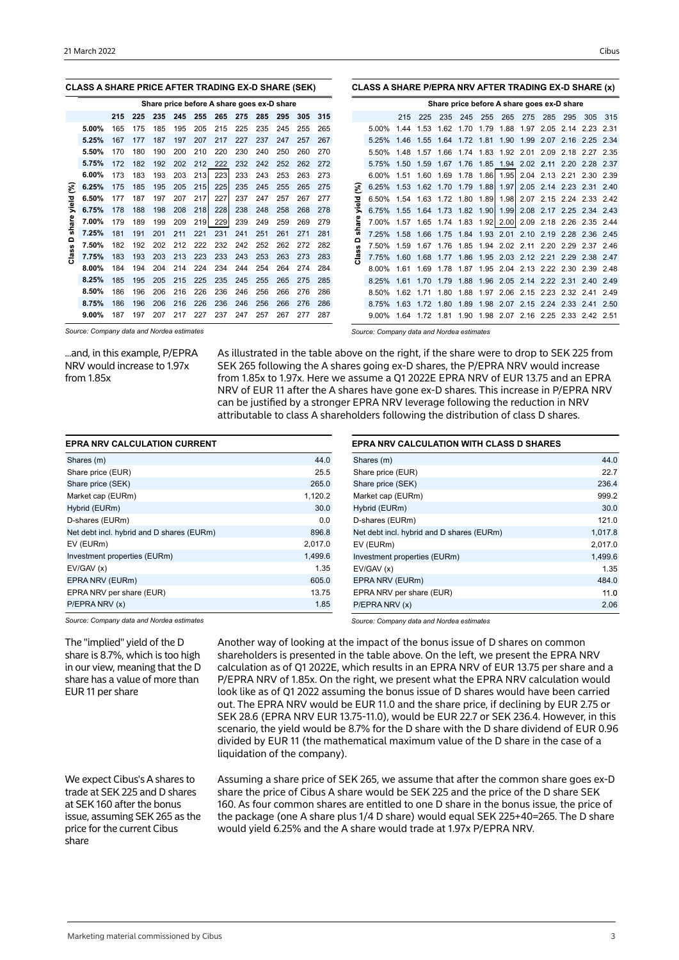| <b>CLASS A SHARE PRICE AFTER TRADING EX-D SHARE (SEK)</b> |     |     |     |     |     |     |                                            |     |     |     |     |   | CLASS A SHARE P/EPRA NRV AFTER TRADING EX-D SHARE (x) |            |      |                |      |                     |                                                              |           |      |           |           |        |
|-----------------------------------------------------------|-----|-----|-----|-----|-----|-----|--------------------------------------------|-----|-----|-----|-----|---|-------------------------------------------------------|------------|------|----------------|------|---------------------|--------------------------------------------------------------|-----------|------|-----------|-----------|--------|
|                                                           |     |     |     |     |     |     | Share price before A share goes ex-D share |     |     |     |     |   |                                                       |            |      |                |      |                     | Share price before A share goes ex-D share                   |           |      |           |           |        |
|                                                           | 215 | 225 | 235 | 245 | 255 | 265 | 275                                        | 285 | 295 | 305 | 315 |   |                                                       | 215        | 225  | 235            | 245  | 255                 | 265                                                          | 275       | 285  | 295       | 305       | 315    |
| $5.00\%$                                                  | 165 | 175 | 185 | 195 | 205 | 215 | 225                                        | 235 | 245 | 255 | 265 |   | 5.00%                                                 | 1.44       |      |                |      | 1.53 1.62 1.70 1.79 |                                                              | 1.88 1.97 | 2.05 | 2.14      | 2.23      | -2.31  |
| 5.25%                                                     | 167 | 177 | 187 | 197 | 207 | 217 | 227                                        | 237 | 247 | 257 | 267 |   |                                                       | 5.25% 1.46 |      |                |      |                     | 1.55 1.64 1.72 1.81 1.90 1.99                                |           |      | 2.07 2.16 | 2.25 2.34 |        |
| 5.50%                                                     | 170 | 180 | 190 | 200 | 210 | 220 | 230                                        | 240 | 250 | 260 | 270 |   | 5.50%                                                 | 148        | 1.57 |                |      |                     | 1.66 1.74 1.83 1.92 2.01                                     |           | 2.09 | 2.18      | 2.27      | - 2.35 |
| 5.75%                                                     | 172 | 182 | 192 | 202 | 212 | 222 | 232                                        | 242 | 252 | 262 | 272 |   |                                                       |            |      |                |      |                     | 5.75% 1.50 1.59 1.67 1.76 1.85 1.94 2.02 2.11 2.20           |           |      |           | 2.28      | - 2.37 |
| 6.00%                                                     | 173 | 183 | 193 | 203 | 213 | 223 | 233                                        | 243 | 253 | 263 | 273 |   |                                                       | 6.00% 1.51 |      |                |      |                     | 1.60 1.69 1.78 1.86 1.95 2.04 2.13 2.21 2.30 2.39            |           |      |           |           |        |
| 6.25%                                                     | 175 | 185 | 195 | 205 | 215 | 225 | 235                                        | 245 | 255 | 265 | 275 | ళ | 6.25%                                                 |            |      |                |      |                     | 1.53 1.62 1.70 1.79 1.88 1.97 2.05 2.14 2.23 2.31 2.40       |           |      |           |           |        |
| 6.50%                                                     | 177 | 187 | 197 | 207 | 217 | 227 | 237                                        | 247 | 257 | 267 | 277 |   |                                                       |            |      |                |      |                     | 6.50% 1.54 1.63 1.72 1.80 1.89 1.98 2.07 2.15 2.24 2.33 2.42 |           |      |           |           |        |
| 6.75%                                                     | 178 | 188 | 198 | 208 | 218 | 228 | 238                                        | 248 | 258 | 268 | 278 |   |                                                       |            |      |                |      |                     | 6.75% 1.55 1.64 1.73 1.82 1.90 1.99 2.08 2.17 2.25 2.34 2.43 |           |      |           |           |        |
| 7.00%                                                     | 179 | 189 | 199 | 209 | 219 | 229 | 239                                        | 249 | 259 | 269 | 279 |   |                                                       |            |      |                |      |                     | 7.00% 1.57 1.65 1.74 1.83 1.92 2.00 2.09 2.18 2.26           |           |      |           | 2.35 2.44 |        |
| 7.25%                                                     | 181 | 191 | 201 | 211 | 221 | 231 | 241                                        | 251 | 261 | 271 | 281 |   |                                                       |            |      |                |      |                     | 7.25% 1.58 1.66 1.75 1.84 1.93 2.01 2.10 2.19 2.28 2.36 2.45 |           |      |           |           |        |
| 7.50%                                                     | 182 | 192 | 202 | 212 | 222 | 232 | 242                                        | 252 | 262 | 272 | 282 | o |                                                       |            |      |                |      |                     | 7.50% 1.59 1.67 1.76 1.85 1.94 2.02 2.11 2.20 2.29           |           |      |           | 237246    |        |
| 7.75%                                                     | 183 | 193 | 203 | 213 | 223 | 233 | 243                                        | 253 | 263 | 273 | 283 |   |                                                       |            |      |                |      |                     | 7.75% 1.60 1.68 1.77 1.86 1.95 2.03 2.12 2.21 2.29           |           |      |           | 2.38 2.47 |        |
| $8.00\%$                                                  | 184 | 194 | 204 | 214 | 224 | 234 | 244                                        | 254 | 264 | 274 | 284 |   |                                                       | 8.00% 1.61 |      |                |      |                     | 1.69 1.78 1.87 1.95 2.04 2.13 2.22 2.30                      |           |      |           | 2.39      | - 248  |
| 8.25%                                                     | 185 | 195 | 205 | 215 | 225 | 235 | 245                                        | 255 | 265 | 275 | 285 |   | 8.25%                                                 | 1.61       | 1.70 | 1.79           | 1.88 | 1.96                | 2.05                                                         | 2.14      | 2.22 | 2.31      | 240       | 249    |
| 8.50%                                                     | 186 | 196 | 206 | 216 | 226 | 236 | 246                                        | 256 | 266 | 276 | 286 |   | 8.50%                                                 | 1.62       |      |                |      |                     | 1.71 1.80 1.88 1.97 2.06 2.15 2.23 2.32                      |           |      |           | 241       | 249    |
| 8.75%                                                     | 186 | 196 | 206 | 216 | 226 | 236 | 246                                        | 256 | 266 | 276 | 286 |   | 8 7 5%                                                | 1.63       |      | 1.72 1.80 1.89 |      |                     | 1.98 2.07 2.15 2.24                                          |           |      | 2.33      | 241       | 2.50   |
| $9.00\%$                                                  | 187 | 197 | 207 | 217 | 227 | 237 | 247                                        | 257 | 267 | 277 | 287 |   | $9.00\%$                                              | 1.64       |      |                |      |                     | 1.72  1.81  1.90  1.98  2.07  2.16  2.25  2.33               |           |      |           | 2.42 2.51 |        |

*Source: Company data and Nordea estimates*

...and, in this example, P/EPRA NRV would increase to 1.97x from 1.85x

*Source: Company data and Nordea estimates*

As illustrated in the table above on the right, if the share were to drop to SEK 225 from SEK 265 following the A shares going ex-D shares, the P/EPRA NRV would increase from 1.85x to 1.97x. Here we assume a Q1 2022E EPRA NRV of EUR 13.75 and an EPRA NRV of EUR 11 after the A shares have gone ex-D shares. This increase in P/EPRA NRV can be justified by a stronger EPRA NRV leverage following the reduction in NRV attributable to class A shareholders following the distribution of class D shares.

| <b>EPRA NRV CALCULATION CURRENT</b>       |         |
|-------------------------------------------|---------|
| Shares (m)                                | 44.0    |
| Share price (EUR)                         | 25.5    |
| Share price (SEK)                         | 265.0   |
| Market cap (EURm)                         | 1,120.2 |
| Hybrid (EURm)                             | 30.0    |
| D-shares (EURm)                           | 0.0     |
| Net debt incl. hybrid and D shares (EURm) | 896.8   |
| EV (EURm)                                 | 2,017.0 |
| Investment properties (EURm)              | 1,499.6 |
| EV/GAV(x)                                 | 1.35    |
| EPRA NRV (EURm)                           | 605.0   |
| EPRA NRV per share (EUR)                  | 13.75   |
| P/EPRA NRV(x)                             | 1.85    |

| <b>EPRA NRV CALCULATION WITH CLASS D SHARES</b> |         |
|-------------------------------------------------|---------|
| Shares (m)                                      | 44.0    |
| Share price (EUR)                               | 22.7    |
| Share price (SEK)                               | 236.4   |
| Market cap (EURm)                               | 999.2   |
| Hybrid (EURm)                                   | 30.0    |
| D-shares (EURm)                                 | 121.0   |
| Net debt incl. hybrid and D shares (EURm)       | 1,017.8 |
| EV (EURm)                                       | 2,017.0 |
| Investment properties (EURm)                    | 1,499.6 |
| EV/GAV(x)                                       | 1.35    |
| EPRA NRV (EURm)                                 | 484.0   |
| EPRA NRV per share (EUR)                        | 11.0    |
| P/EPRA NRV(x)                                   | 2.06    |

*Source: Company data and Nordea estimates*

The "implied" yield of the D share is 8.7%, which is too high in our view, meaning that the D share has a value of more than EUR 11 per share

We expect Cibus's A shares to trade at SEK 225 and D shares at SEK 160 after the bonus issue, assuming SEK 265 as the price for the current Cibus share

*Source: Company data and Nordea estimates*

Another way of looking at the impact of the bonus issue of D shares on common shareholders is presented in the table above. On the left, we present the EPRA NRV calculation as of Q1 2022E, which results in an EPRA NRV of EUR 13.75 per share and a P/EPRA NRV of 1.85x. On the right, we present what the EPRA NRV calculation would look like as of Q1 2022 assuming the bonus issue of D shares would have been carried out. The EPRA NRV would be EUR 11.0 and the share price, if declining by EUR 2.75 or SEK 28.6 (EPRA NRV EUR 13.75-11.0), would be EUR 22.7 or SEK 236.4. However, in this scenario, the yield would be 8.7% for the D share with the D share dividend of EUR 0.96 divided by EUR 11 (the mathematical maximum value of the D share in the case of a liquidation of the company).

Assuming a share price of SEK 265, we assume that after the common share goes ex-D share the price of Cibus A share would be SEK 225 and the price of the D share SEK 160. As four common shares are entitled to one D share in the bonus issue, the price of the package (one A share plus 1/4 D share) would equal SEK 225+40=265. The D share would yield 6.25% and the A share would trade at 1.97x P/EPRA NRV.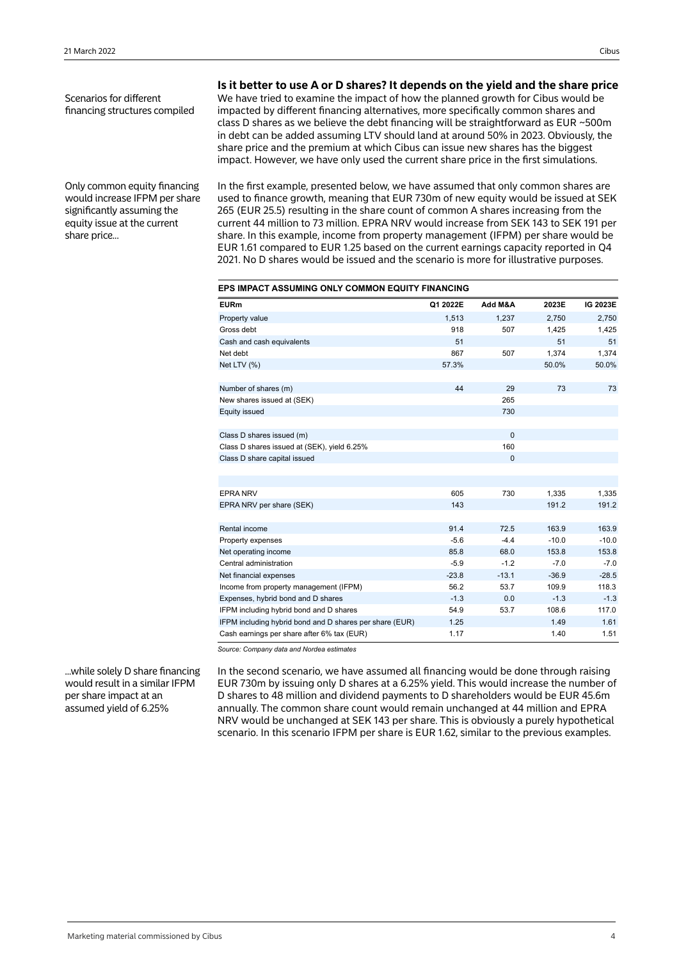Scenarios for different financing structures compiled

Only common equity financing would increase IFPM per share significantly assuming the equity issue at the current share price...

**Is it better to use A or D shares? It depends on the yield and the share price**

We have tried to examine the impact of how the planned growth for Cibus would be impacted by different financing alternatives, more specifically common shares and class D shares as we believe the debt financing will be straightforward as EUR ~500m in debt can be added assuming LTV should land at around 50% in 2023. Obviously, the share price and the premium at which Cibus can issue new shares has the biggest impact. However, we have only used the current share price in the first simulations.

In the first example, presented below, we have assumed that only common shares are used to finance growth, meaning that EUR 730m of new equity would be issued at SEK 265 (EUR 25.5) resulting in the share count of common A shares increasing from the current 44 million to 73 million. EPRA NRV would increase from SEK 143 to SEK 191 per share. In this example, income from property management (IFPM) per share would be EUR 1.61 compared to EUR 1.25 based on the current earnings capacity reported in Q4 2021. No D shares would be issued and the scenario is more for illustrative purposes.

| EPS IMPACT ASSUMING ONLY COMMON EQUITY FINANCING        |          |             |         |          |  |  |  |  |  |  |  |
|---------------------------------------------------------|----------|-------------|---------|----------|--|--|--|--|--|--|--|
| <b>EURm</b>                                             | Q1 2022E | Add M&A     | 2023E   | IG 2023E |  |  |  |  |  |  |  |
| Property value                                          | 1.513    | 1.237       | 2.750   | 2.750    |  |  |  |  |  |  |  |
| Gross debt                                              | 918      | 507         | 1,425   | 1,425    |  |  |  |  |  |  |  |
| Cash and cash equivalents                               | 51       |             | 51      | 51       |  |  |  |  |  |  |  |
| Net debt                                                | 867      | 507         | 1,374   | 1,374    |  |  |  |  |  |  |  |
| Net LTV (%)                                             | 57.3%    |             | 50.0%   | 50.0%    |  |  |  |  |  |  |  |
|                                                         | 44       | 29          | 73      | 73       |  |  |  |  |  |  |  |
| Number of shares (m)                                    |          | 265         |         |          |  |  |  |  |  |  |  |
| New shares issued at (SEK)                              |          | 730         |         |          |  |  |  |  |  |  |  |
| <b>Equity issued</b>                                    |          |             |         |          |  |  |  |  |  |  |  |
| Class D shares issued (m)                               |          | $\Omega$    |         |          |  |  |  |  |  |  |  |
| Class D shares issued at (SEK), yield 6.25%             |          | 160         |         |          |  |  |  |  |  |  |  |
| Class D share capital issued                            |          | $\mathbf 0$ |         |          |  |  |  |  |  |  |  |
|                                                         |          |             |         |          |  |  |  |  |  |  |  |
| <b>EPRA NRV</b>                                         | 605      | 730         | 1.335   | 1.335    |  |  |  |  |  |  |  |
| EPRA NRV per share (SEK)                                | 143      |             | 191.2   | 191.2    |  |  |  |  |  |  |  |
|                                                         |          |             |         |          |  |  |  |  |  |  |  |
| Rental income                                           | 91.4     | 72.5        | 163.9   | 163.9    |  |  |  |  |  |  |  |
| Property expenses                                       | $-5.6$   | $-4.4$      | $-10.0$ | $-10.0$  |  |  |  |  |  |  |  |
| Net operating income                                    | 85.8     | 68.0        | 153.8   | 153.8    |  |  |  |  |  |  |  |
| Central administration                                  | $-5.9$   | $-1.2$      | $-7.0$  | $-7.0$   |  |  |  |  |  |  |  |
| Net financial expenses                                  | $-23.8$  | $-13.1$     | $-36.9$ | $-28.5$  |  |  |  |  |  |  |  |
| Income from property management (IFPM)                  | 56.2     | 53.7        | 109.9   | 118.3    |  |  |  |  |  |  |  |
| Expenses, hybrid bond and D shares                      | $-1.3$   | 0.0         | $-1.3$  | $-1.3$   |  |  |  |  |  |  |  |
| IFPM including hybrid bond and D shares                 | 54.9     | 53.7        | 108.6   | 117.0    |  |  |  |  |  |  |  |
| IFPM including hybrid bond and D shares per share (EUR) | 1.25     |             | 1.49    | 1.61     |  |  |  |  |  |  |  |
| Cash earnings per share after 6% tax (EUR)              | 1.17     |             | 1.40    | 1.51     |  |  |  |  |  |  |  |

*Source: Company data and Nordea estimates*

...while solely D share financing would result in a similar IFPM per share impact at an assumed yield of 6.25%

In the second scenario, we have assumed all financing would be done through raising EUR 730m by issuing only D shares at a 6.25% yield. This would increase the number of D shares to 48 million and dividend payments to D shareholders would be EUR 45.6m annually. The common share count would remain unchanged at 44 million and EPRA NRV would be unchanged at SEK 143 per share. This is obviously a purely hypothetical scenario. In this scenario IFPM per share is EUR 1.62, similar to the previous examples.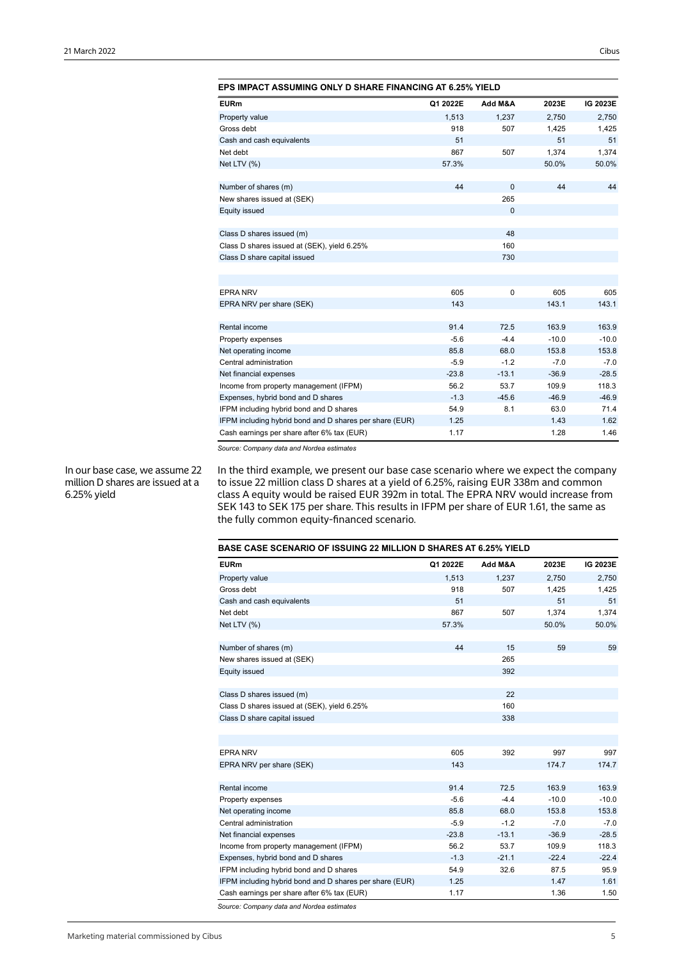| <b>EPS IMPACT ASSUMING ONLY D SHARE FINANCING AT 6.25% YIELD</b> |          |              |         |          |  |  |  |  |  |  |  |
|------------------------------------------------------------------|----------|--------------|---------|----------|--|--|--|--|--|--|--|
| <b>EURm</b>                                                      | Q1 2022E | Add M&A      | 2023E   | IG 2023E |  |  |  |  |  |  |  |
| Property value                                                   | 1.513    | 1,237        | 2,750   | 2,750    |  |  |  |  |  |  |  |
| Gross debt                                                       | 918      | 507          | 1,425   | 1,425    |  |  |  |  |  |  |  |
| Cash and cash equivalents                                        | 51       |              | 51      | 51       |  |  |  |  |  |  |  |
| Net debt                                                         | 867      | 507          | 1.374   | 1,374    |  |  |  |  |  |  |  |
| Net LTV (%)                                                      | 57.3%    |              | 50.0%   | 50.0%    |  |  |  |  |  |  |  |
| Number of shares (m)                                             | 44       | $\mathbf{0}$ | 44      | 44       |  |  |  |  |  |  |  |
| New shares issued at (SEK)                                       |          | 265          |         |          |  |  |  |  |  |  |  |
| <b>Equity issued</b>                                             |          | $\mathbf{0}$ |         |          |  |  |  |  |  |  |  |
| Class D shares issued (m)                                        |          | 48           |         |          |  |  |  |  |  |  |  |
| Class D shares issued at (SEK), yield 6.25%                      |          | 160          |         |          |  |  |  |  |  |  |  |
| Class D share capital issued                                     |          | 730          |         |          |  |  |  |  |  |  |  |
|                                                                  |          |              |         |          |  |  |  |  |  |  |  |
|                                                                  |          |              |         |          |  |  |  |  |  |  |  |
| <b>EPRA NRV</b>                                                  | 605      | $\mathbf 0$  | 605     | 605      |  |  |  |  |  |  |  |
| EPRA NRV per share (SEK)                                         | 143      |              | 143.1   | 143.1    |  |  |  |  |  |  |  |
| Rental income                                                    | 91.4     | 72.5         | 163.9   | 163.9    |  |  |  |  |  |  |  |
| Property expenses                                                | $-5.6$   | $-4.4$       | $-10.0$ | $-10.0$  |  |  |  |  |  |  |  |
| Net operating income                                             | 85.8     | 68.0         | 153.8   | 153.8    |  |  |  |  |  |  |  |
| Central administration                                           | $-5.9$   | $-1.2$       | $-7.0$  | $-7.0$   |  |  |  |  |  |  |  |
| Net financial expenses                                           | $-23.8$  | $-13.1$      | $-36.9$ | $-28.5$  |  |  |  |  |  |  |  |
| Income from property management (IFPM)                           | 56.2     | 53.7         | 109.9   | 118.3    |  |  |  |  |  |  |  |
| Expenses, hybrid bond and D shares                               | $-1.3$   | $-45.6$      | $-46.9$ | $-46.9$  |  |  |  |  |  |  |  |
| IFPM including hybrid bond and D shares                          | 54.9     | 8.1          | 63.0    | 71.4     |  |  |  |  |  |  |  |
| IFPM including hybrid bond and D shares per share (EUR)          | 1.25     |              | 1.43    | 1.62     |  |  |  |  |  |  |  |
| Cash earnings per share after 6% tax (EUR)                       | 1.17     |              | 1.28    | 1.46     |  |  |  |  |  |  |  |

In our base case, we assume 22 million D shares are issued at a 6.25% yield

In the third example, we present our base case scenario where we expect the company to issue 22 million class D shares at a yield of 6.25%, raising EUR 338m and common class A equity would be raised EUR 392m in total. The EPRA NRV would increase from SEK 143 to SEK 175 per share. This results in IFPM per share of EUR 1.61, the same as the fully common equity-financed scenario.

| <b>BASE CASE SCENARIO OF ISSUING 22 MILLION D SHARES AT 6.25% YIELD</b> |          |         |         |          |  |  |  |  |  |  |
|-------------------------------------------------------------------------|----------|---------|---------|----------|--|--|--|--|--|--|
| <b>EURm</b>                                                             | Q1 2022E | Add M&A | 2023E   | IG 2023E |  |  |  |  |  |  |
| Property value                                                          | 1.513    | 1.237   | 2.750   | 2,750    |  |  |  |  |  |  |
| Gross debt                                                              | 918      | 507     | 1,425   | 1,425    |  |  |  |  |  |  |
| Cash and cash equivalents                                               | 51       |         | 51      | 51       |  |  |  |  |  |  |
| Net debt                                                                | 867      | 507     | 1,374   | 1,374    |  |  |  |  |  |  |
| Net LTV (%)                                                             | 57.3%    |         | 50.0%   | 50.0%    |  |  |  |  |  |  |
|                                                                         |          |         |         |          |  |  |  |  |  |  |
| Number of shares (m)                                                    | 44       | 15      | 59      | 59       |  |  |  |  |  |  |
| New shares issued at (SEK)                                              |          | 265     |         |          |  |  |  |  |  |  |
| <b>Equity issued</b>                                                    |          | 392     |         |          |  |  |  |  |  |  |
| Class D shares issued (m)                                               |          | 22      |         |          |  |  |  |  |  |  |
| Class D shares issued at (SEK), yield 6.25%                             |          | 160     |         |          |  |  |  |  |  |  |
| Class D share capital issued                                            |          | 338     |         |          |  |  |  |  |  |  |
|                                                                         |          |         |         |          |  |  |  |  |  |  |
|                                                                         |          |         |         |          |  |  |  |  |  |  |
| <b>EPRA NRV</b>                                                         | 605      | 392     | 997     | 997      |  |  |  |  |  |  |
| EPRA NRV per share (SEK)                                                | 143      |         | 174.7   | 174.7    |  |  |  |  |  |  |
|                                                                         |          |         |         |          |  |  |  |  |  |  |
| Rental income                                                           | 91.4     | 72.5    | 163.9   | 163.9    |  |  |  |  |  |  |
| Property expenses                                                       | $-5.6$   | $-4.4$  | $-10.0$ | $-10.0$  |  |  |  |  |  |  |
| Net operating income                                                    | 85.8     | 68.0    | 153.8   | 153.8    |  |  |  |  |  |  |
| Central administration                                                  | $-5.9$   | $-1.2$  | $-7.0$  | $-7.0$   |  |  |  |  |  |  |
| Net financial expenses                                                  | $-23.8$  | $-13.1$ | $-36.9$ | $-28.5$  |  |  |  |  |  |  |
| Income from property management (IFPM)                                  | 56.2     | 53.7    | 109.9   | 118.3    |  |  |  |  |  |  |
| Expenses, hybrid bond and D shares                                      | $-1.3$   | $-21.1$ | $-22.4$ | $-22.4$  |  |  |  |  |  |  |
| IFPM including hybrid bond and D shares                                 | 54.9     | 32.6    | 87.5    | 95.9     |  |  |  |  |  |  |
| IFPM including hybrid bond and D shares per share (EUR)                 | 1.25     |         | 1.47    | 1.61     |  |  |  |  |  |  |
| Cash earnings per share after 6% tax (EUR)                              | 1.17     |         | 1.36    | 1.50     |  |  |  |  |  |  |
| Source: Company data and Nordea estimates                               |          |         |         |          |  |  |  |  |  |  |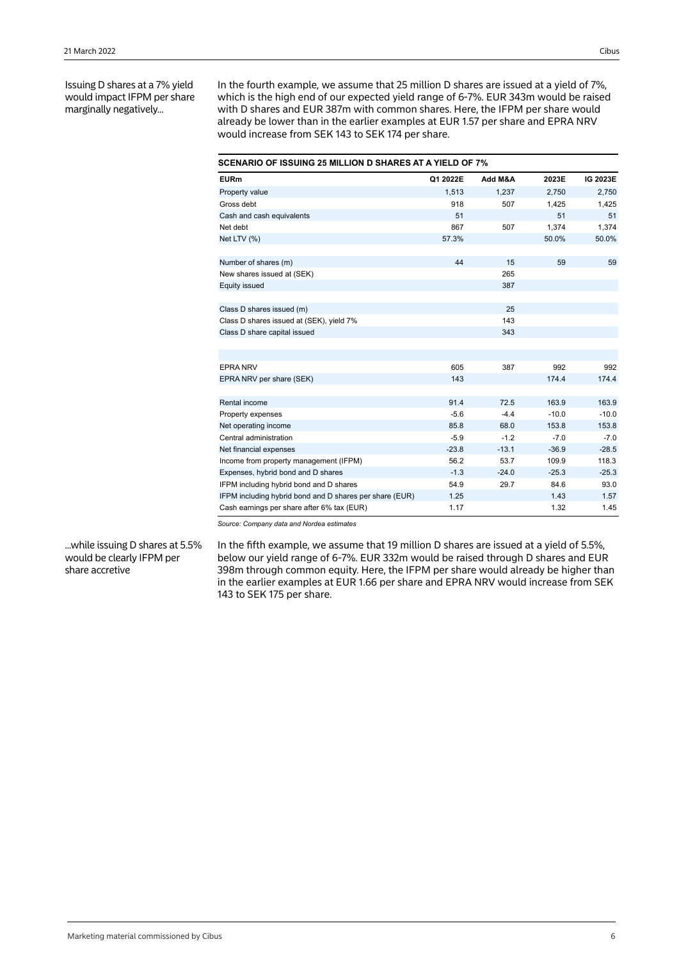Issuing D shares at a 7% yield would impact IFPM per share marginally negatively...

In the fourth example, we assume that 25 million D shares are issued at a yield of 7%, which is the high end of our expected yield range of 6-7%. EUR 343m would be raised with D shares and EUR 387m with common shares. Here, the IFPM per share would already be lower than in the earlier examples at EUR 1.57 per share and EPRA NRV would increase from SEK 143 to SEK 174 per share.

| <b>SCENARIO OF ISSUING 25 MILLION D SHARES AT A YIELD OF 7%</b> |          |         |         |          |  |  |  |  |  |  |  |
|-----------------------------------------------------------------|----------|---------|---------|----------|--|--|--|--|--|--|--|
| <b>EURm</b>                                                     | Q1 2022E | Add M&A | 2023E   | IG 2023E |  |  |  |  |  |  |  |
| Property value                                                  | 1.513    | 1.237   | 2.750   | 2,750    |  |  |  |  |  |  |  |
| Gross debt                                                      | 918      | 507     | 1,425   | 1,425    |  |  |  |  |  |  |  |
| Cash and cash equivalents                                       | 51       |         | 51      | 51       |  |  |  |  |  |  |  |
| Net debt                                                        | 867      | 507     | 1.374   | 1.374    |  |  |  |  |  |  |  |
| Net LTV (%)                                                     | 57.3%    |         | 50.0%   | 50.0%    |  |  |  |  |  |  |  |
| Number of shares (m)                                            | 44       | 15      | 59      | 59       |  |  |  |  |  |  |  |
| New shares issued at (SEK)                                      |          | 265     |         |          |  |  |  |  |  |  |  |
| Equity issued                                                   |          | 387     |         |          |  |  |  |  |  |  |  |
|                                                                 |          |         |         |          |  |  |  |  |  |  |  |
| Class D shares issued (m)                                       |          | 25      |         |          |  |  |  |  |  |  |  |
| Class D shares issued at (SEK), yield 7%                        |          | 143     |         |          |  |  |  |  |  |  |  |
| Class D share capital issued                                    |          | 343     |         |          |  |  |  |  |  |  |  |
|                                                                 |          |         |         |          |  |  |  |  |  |  |  |
| <b>EPRA NRV</b>                                                 | 605      | 387     | 992     | 992      |  |  |  |  |  |  |  |
| EPRA NRV per share (SEK)                                        | 143      |         | 174.4   | 174.4    |  |  |  |  |  |  |  |
|                                                                 |          |         |         |          |  |  |  |  |  |  |  |
| Rental income                                                   | 91.4     | 72.5    | 163.9   | 163.9    |  |  |  |  |  |  |  |
| Property expenses                                               | $-5.6$   | $-4.4$  | $-10.0$ | $-10.0$  |  |  |  |  |  |  |  |
| Net operating income                                            | 85.8     | 68.0    | 153.8   | 153.8    |  |  |  |  |  |  |  |
| Central administration                                          | $-5.9$   | $-1.2$  | $-7.0$  | $-7.0$   |  |  |  |  |  |  |  |
| Net financial expenses                                          | $-23.8$  | $-13.1$ | $-36.9$ | $-28.5$  |  |  |  |  |  |  |  |
| Income from property management (IFPM)                          | 56.2     | 53.7    | 109.9   | 118.3    |  |  |  |  |  |  |  |
| Expenses, hybrid bond and D shares                              | $-1.3$   | $-24.0$ | $-25.3$ | $-25.3$  |  |  |  |  |  |  |  |
| IFPM including hybrid bond and D shares                         | 54.9     | 29.7    | 84.6    | 93.0     |  |  |  |  |  |  |  |
| IFPM including hybrid bond and D shares per share (EUR)         | 1.25     |         | 1.43    | 1.57     |  |  |  |  |  |  |  |
| Cash earnings per share after 6% tax (EUR)                      | 1.17     |         | 1.32    | 1.45     |  |  |  |  |  |  |  |

*Source: Company data and Nordea estimates*

...while issuing D shares at 5.5% would be clearly IFPM per share accretive

In the fifth example, we assume that 19 million D shares are issued at a yield of 5.5%, below our yield range of 6-7%. EUR 332m would be raised through D shares and EUR 398m through common equity. Here, the IFPM per share would already be higher than in the earlier examples at EUR 1.66 per share and EPRA NRV would increase from SEK 143 to SEK 175 per share.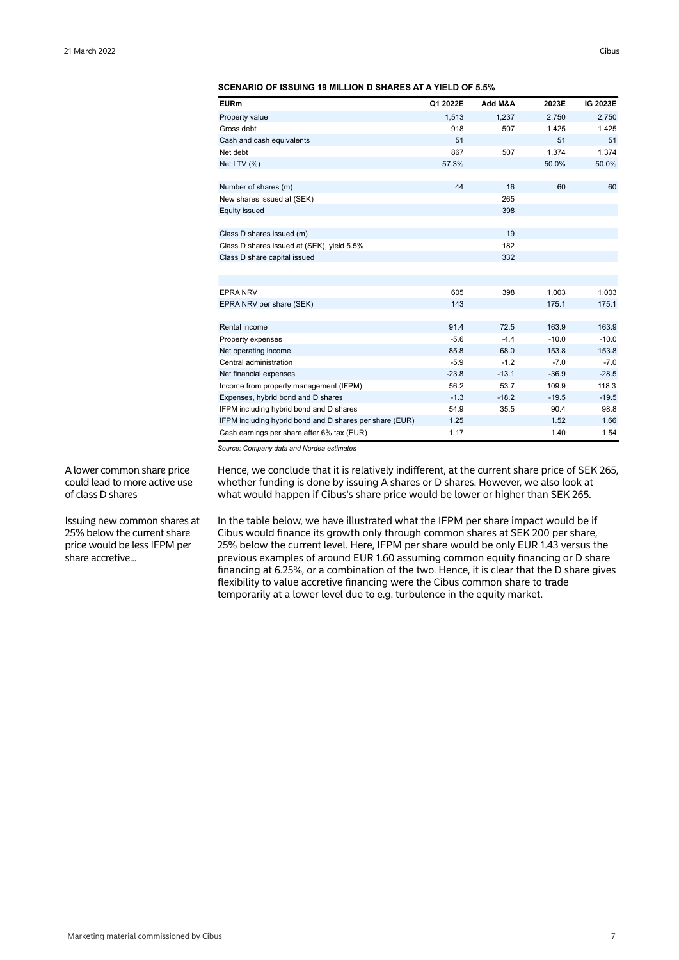| <b>SCENARIO OF ISSUING 19 MILLION D SHARES AT A YIELD OF 5.5%</b> |          |         |         |          |
|-------------------------------------------------------------------|----------|---------|---------|----------|
| <b>EURm</b>                                                       | Q1 2022E | Add M&A | 2023E   | IG 2023E |
| Property value                                                    | 1.513    | 1.237   | 2.750   | 2,750    |
| Gross debt                                                        | 918      | 507     | 1,425   | 1,425    |
| Cash and cash equivalents                                         | 51       |         | 51      | 51       |
| Net debt                                                          | 867      | 507     | 1,374   | 1,374    |
| Net LTV (%)                                                       | 57.3%    |         | 50.0%   | 50.0%    |
| Number of shares (m)                                              | 44       | 16      | 60      | 60       |
| New shares issued at (SEK)                                        |          | 265     |         |          |
| Equity issued                                                     |          | 398     |         |          |
| Class D shares issued (m)                                         |          | 19      |         |          |
| Class D shares issued at (SEK), yield 5.5%                        |          | 182     |         |          |
| Class D share capital issued                                      |          | 332     |         |          |
|                                                                   |          |         |         |          |
| <b>EPRA NRV</b>                                                   | 605      | 398     | 1,003   | 1,003    |
| EPRA NRV per share (SEK)                                          | 143      |         | 175.1   | 175.1    |
| Rental income                                                     | 91.4     | 72.5    | 163.9   | 163.9    |
| Property expenses                                                 | $-5.6$   | $-4.4$  | $-10.0$ | $-10.0$  |
| Net operating income                                              | 85.8     | 68.0    | 153.8   | 153.8    |
| Central administration                                            | $-5.9$   | $-1.2$  | $-7.0$  | $-7.0$   |
| Net financial expenses                                            | $-23.8$  | $-13.1$ | $-36.9$ | $-28.5$  |
| Income from property management (IFPM)                            | 56.2     | 53.7    | 109.9   | 118.3    |
| Expenses, hybrid bond and D shares                                | $-1.3$   | $-18.2$ | $-19.5$ | $-19.5$  |
| IFPM including hybrid bond and D shares                           | 54.9     | 35.5    | 90.4    | 98.8     |
| IFPM including hybrid bond and D shares per share (EUR)           | 1.25     |         | 1.52    | 1.66     |
| Cash earnings per share after 6% tax (EUR)                        | 1.17     |         | 1.40    | 1.54     |

A lower common share price could lead to more active use of class D shares

Issuing new common shares at 25% below the current share price would be less IFPM per share accretive...

Hence, we conclude that it is relatively indifferent, at the current share price of SEK 265, whether funding is done by issuing A shares or D shares. However, we also look at what would happen if Cibus's share price would be lower or higher than SEK 265.

In the table below, we have illustrated what the IFPM per share impact would be if Cibus would finance its growth only through common shares at SEK 200 per share, 25% below the current level. Here, IFPM per share would be only EUR 1.43 versus the previous examples of around EUR 1.60 assuming common equity financing or D share financing at 6.25%, or a combination of the two. Hence, it is clear that the D share gives flexibility to value accretive financing were the Cibus common share to trade temporarily at a lower level due to e.g. turbulence in the equity market.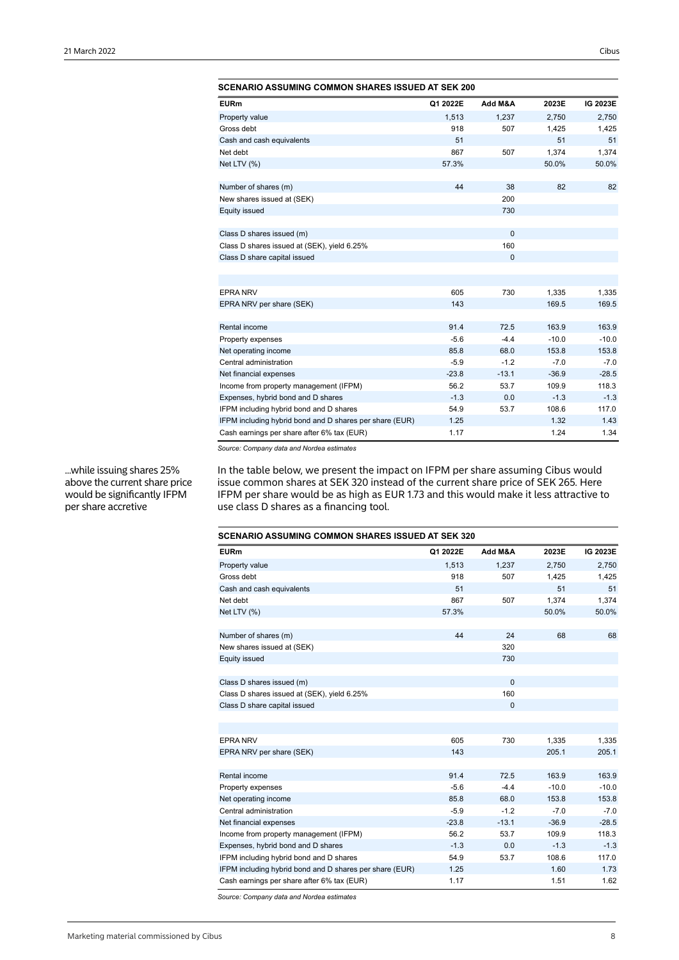| SCENARIO ASSUMING COMMON SHARES ISSUED AT SEK 200       |          |              |         |          |
|---------------------------------------------------------|----------|--------------|---------|----------|
| <b>EURm</b>                                             | Q1 2022E | Add M&A      | 2023E   | IG 2023E |
| Property value                                          | 1,513    | 1,237        | 2,750   | 2,750    |
| Gross debt                                              | 918      | 507          | 1,425   | 1,425    |
| Cash and cash equivalents                               | 51       |              | 51      | 51       |
| Net debt                                                | 867      | 507          | 1,374   | 1,374    |
| Net LTV (%)                                             | 57.3%    |              | 50.0%   | 50.0%    |
| Number of shares (m)                                    | 44       | 38           | 82      | 82       |
| New shares issued at (SEK)                              |          | 200          |         |          |
| <b>Equity issued</b>                                    |          | 730          |         |          |
|                                                         |          |              |         |          |
| Class D shares issued (m)                               |          | $\mathbf{0}$ |         |          |
| Class D shares issued at (SEK), yield 6.25%             |          | 160          |         |          |
| Class D share capital issued                            |          | $\mathbf{0}$ |         |          |
|                                                         |          |              |         |          |
|                                                         |          |              |         |          |
| <b>EPRA NRV</b>                                         | 605      | 730          | 1,335   | 1,335    |
| EPRA NRV per share (SEK)                                | 143      |              | 169.5   | 169.5    |
| Rental income                                           | 91.4     | 72.5         | 163.9   | 163.9    |
| Property expenses                                       | $-5.6$   | $-4.4$       | $-10.0$ | $-10.0$  |
| Net operating income                                    | 85.8     | 68.0         | 153.8   | 153.8    |
| Central administration                                  | $-5.9$   | $-1.2$       | $-7.0$  | $-7.0$   |
| Net financial expenses                                  | $-23.8$  | $-13.1$      | $-36.9$ | $-28.5$  |
| Income from property management (IFPM)                  | 56.2     | 53.7         | 109.9   | 118.3    |
| Expenses, hybrid bond and D shares                      | $-1.3$   | 0.0          | $-1.3$  | $-1.3$   |
| IFPM including hybrid bond and D shares                 | 54.9     | 53.7         | 108.6   | 117.0    |
| IFPM including hybrid bond and D shares per share (EUR) | 1.25     |              | 1.32    | 1.43     |
| Cash earnings per share after 6% tax (EUR)              | 1.17     |              | 1.24    | 1.34     |

...while issuing shares 25% above the current share price would be significantly IFPM per share accretive

In the table below, we present the impact on IFPM per share assuming Cibus would issue common shares at SEK 320 instead of the current share price of SEK 265. Here IFPM per share would be as high as EUR 1.73 and this would make it less attractive to use class D shares as a financing tool.

| <b>SCENARIO ASSUMING COMMON SHARES ISSUED AT SEK 320</b> |          |              |         |          |  |  |  |  |  |  |  |
|----------------------------------------------------------|----------|--------------|---------|----------|--|--|--|--|--|--|--|
| <b>EURm</b>                                              | Q1 2022E | Add M&A      | 2023E   | IG 2023E |  |  |  |  |  |  |  |
| Property value                                           | 1.513    | 1,237        | 2.750   | 2,750    |  |  |  |  |  |  |  |
| Gross debt                                               | 918      | 507          | 1,425   | 1,425    |  |  |  |  |  |  |  |
| Cash and cash equivalents                                | 51       |              | 51      | 51       |  |  |  |  |  |  |  |
| Net debt                                                 | 867      | 507          | 1,374   | 1,374    |  |  |  |  |  |  |  |
| Net LTV (%)                                              | 57.3%    |              | 50.0%   | 50.0%    |  |  |  |  |  |  |  |
| Number of shares (m)                                     | 44       | 24           | 68      | 68       |  |  |  |  |  |  |  |
| New shares issued at (SEK)                               |          | 320          |         |          |  |  |  |  |  |  |  |
| Equity issued                                            |          | 730          |         |          |  |  |  |  |  |  |  |
|                                                          |          |              |         |          |  |  |  |  |  |  |  |
| Class D shares issued (m)                                |          | $\Omega$     |         |          |  |  |  |  |  |  |  |
| Class D shares issued at (SEK), yield 6.25%              |          | 160          |         |          |  |  |  |  |  |  |  |
| Class D share capital issued                             |          | $\mathbf{0}$ |         |          |  |  |  |  |  |  |  |
|                                                          |          |              |         |          |  |  |  |  |  |  |  |
| <b>EPRA NRV</b>                                          | 605      | 730          |         |          |  |  |  |  |  |  |  |
|                                                          |          |              | 1,335   | 1,335    |  |  |  |  |  |  |  |
| EPRA NRV per share (SEK)                                 | 143      |              | 205.1   | 205.1    |  |  |  |  |  |  |  |
| Rental income                                            | 91.4     | 72.5         | 163.9   | 163.9    |  |  |  |  |  |  |  |
| Property expenses                                        | $-5.6$   | $-4.4$       | $-10.0$ | $-10.0$  |  |  |  |  |  |  |  |
| Net operating income                                     | 85.8     | 68.0         | 153.8   | 153.8    |  |  |  |  |  |  |  |
| Central administration                                   | $-5.9$   | $-1.2$       | $-7.0$  | $-7.0$   |  |  |  |  |  |  |  |
| Net financial expenses                                   | $-23.8$  | $-13.1$      | $-36.9$ | $-28.5$  |  |  |  |  |  |  |  |
| Income from property management (IFPM)                   | 56.2     | 53.7         | 109.9   | 118.3    |  |  |  |  |  |  |  |
| Expenses, hybrid bond and D shares                       | $-1.3$   | 0.0          | $-1.3$  | $-1.3$   |  |  |  |  |  |  |  |
| IFPM including hybrid bond and D shares                  | 54.9     | 53.7         | 108.6   | 117.0    |  |  |  |  |  |  |  |
| IFPM including hybrid bond and D shares per share (EUR)  | 1.25     |              | 1.60    | 1.73     |  |  |  |  |  |  |  |
| Cash earnings per share after 6% tax (EUR)               | 1.17     |              | 1.51    | 1.62     |  |  |  |  |  |  |  |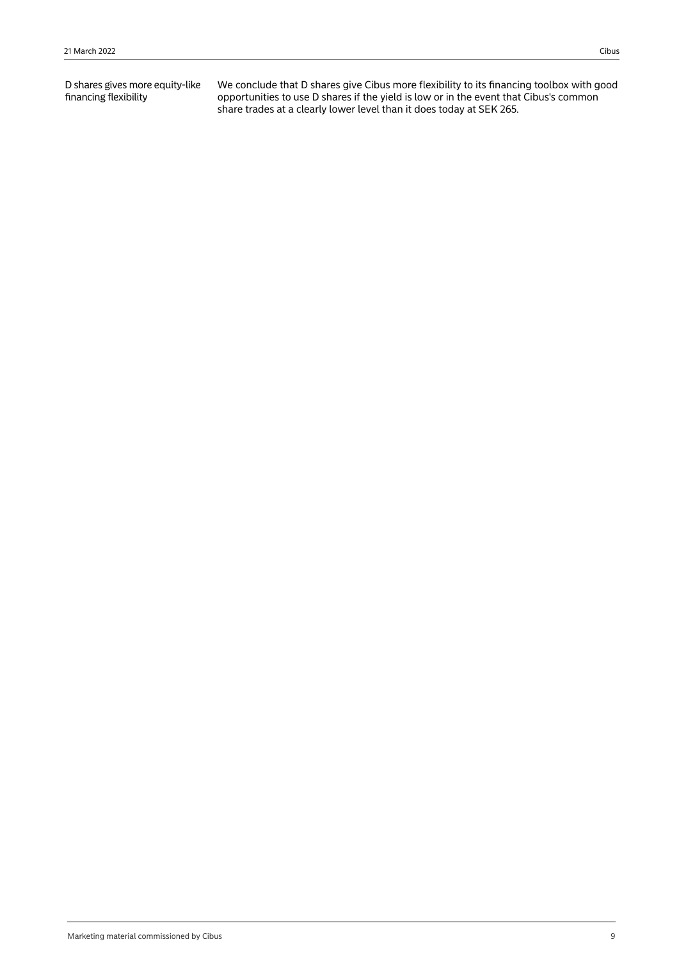D shares gives more equity-like financing flexibility

We conclude that D shares give Cibus more flexibility to its financing toolbox with good opportunities to use D shares if the yield is low or in the event that Cibus's common share trades at a clearly lower level than it does today at SEK 265.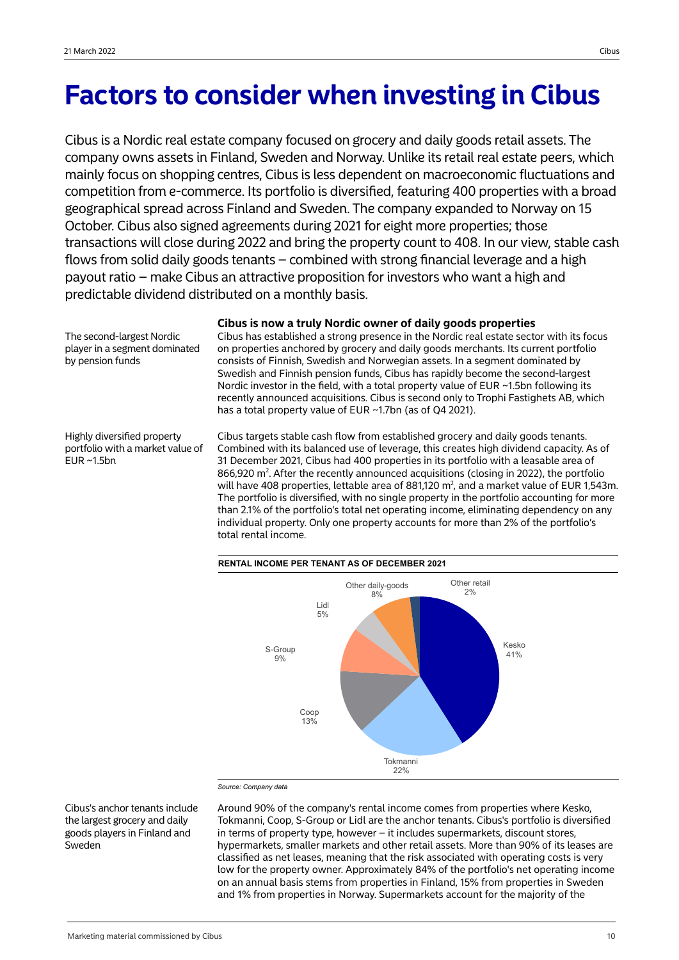The second-largest Nordic player in a segment dominated

Highly diversified property portfolio with a market value of

by pension funds

EUR ~1.5bn

# **Factors to consider when investing in Cibus**

Cibus is a Nordic real estate company focused on grocery and daily goods retail assets. The company owns assets in Finland, Sweden and Norway. Unlike its retail real estate peers, which mainly focus on shopping centres, Cibus is less dependent on macroeconomic fluctuations and competition from e-commerce. Its portfolio is diversified, featuring 400 properties with a broad geographical spread across Finland and Sweden. The company expanded to Norway on 15 October. Cibus also signed agreements during 2021 for eight more properties; those transactions will close during 2022 and bring the property count to 408. In our view, stable cash flows from solid daily goods tenants – combined with strong financial leverage and a high payout ratio – make Cibus an attractive proposition for investors who want a high and predictable dividend distributed on a monthly basis.

**Cibus is now a truly Nordic owner of daily goods properties**

Cibus has established a strong presence in the Nordic real estate sector with its focus on properties anchored by grocery and daily goods merchants. Its current portfolio consists of Finnish, Swedish and Norwegian assets. In a segment dominated by Swedish and Finnish pension funds, Cibus has rapidly become the second-largest Nordic investor in the field, with a total property value of EUR ~1.5bn following its recently announced acquisitions. Cibus is second only to Trophi Fastighets AB, which has a total property value of EUR ~1.7bn (as of Q4 2021).

Cibus targets stable cash flow from established grocery and daily goods tenants. Combined with its balanced use of leverage, this creates high dividend capacity. As of 31 December 2021, Cibus had 400 properties in its portfolio with a leasable area of 866,920  $\text{m}^2$ . After the recently announced acquisitions (closing in 2022), the portfolio will have 408 properties, lettable area of 881,120  $m^2$ , and a market value of EUR 1,543m. The portfolio is diversified, with no single property in the portfolio accounting for more than 2.1% of the portfolio's total net operating income, eliminating dependency on any individual property. Only one property accounts for more than 2% of the portfolio's total rental income.



Cibus's anchor tenants include the largest grocery and daily goods players in Finland and Sweden

Around 90% of the company's rental income comes from properties where Kesko, Tokmanni, Coop, S-Group or Lidl are the anchor tenants. Cibus's portfolio is diversified in terms of property type, however – it includes supermarkets, discount stores, hypermarkets, smaller markets and other retail assets. More than 90% of its leases are classified as net leases, meaning that the risk associated with operating costs is very low for the property owner. Approximately 84% of the portfolio's net operating income on an annual basis stems from properties in Finland, 15% from properties in Sweden and 1% from properties in Norway. Supermarkets account for the majority of the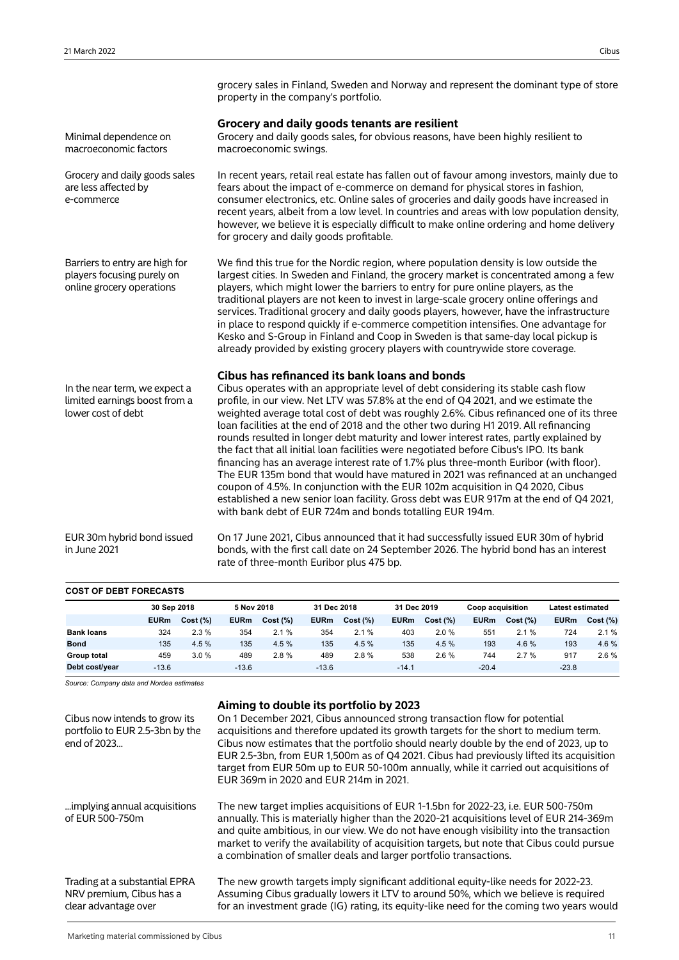| grocery sales in Finland, Sweden and Norway and represent the dominant type of store |  |
|--------------------------------------------------------------------------------------|--|
| property in the company's portfolio.                                                 |  |

| Minimal dependence on<br>macroeconomic factors                                            | Grocery and daily goods tenants are resilient<br>Grocery and daily goods sales, for obvious reasons, have been highly resilient to<br>macroeconomic swings.                                                                                                                                                                                                                                                                                                                                                                                                                                                                                                                                                                                                                                                                                                                                                                                                                                                         |
|-------------------------------------------------------------------------------------------|---------------------------------------------------------------------------------------------------------------------------------------------------------------------------------------------------------------------------------------------------------------------------------------------------------------------------------------------------------------------------------------------------------------------------------------------------------------------------------------------------------------------------------------------------------------------------------------------------------------------------------------------------------------------------------------------------------------------------------------------------------------------------------------------------------------------------------------------------------------------------------------------------------------------------------------------------------------------------------------------------------------------|
| Grocery and daily goods sales<br>are less affected by<br>e-commerce                       | In recent years, retail real estate has fallen out of favour among investors, mainly due to<br>fears about the impact of e-commerce on demand for physical stores in fashion,<br>consumer electronics, etc. Online sales of groceries and daily goods have increased in<br>recent years, albeit from a low level. In countries and areas with low population density,<br>however, we believe it is especially difficult to make online ordering and home delivery<br>for grocery and daily goods profitable.                                                                                                                                                                                                                                                                                                                                                                                                                                                                                                        |
| Barriers to entry are high for<br>players focusing purely on<br>online grocery operations | We find this true for the Nordic region, where population density is low outside the<br>largest cities. In Sweden and Finland, the grocery market is concentrated among a few<br>players, which might lower the barriers to entry for pure online players, as the<br>traditional players are not keen to invest in large-scale grocery online offerings and<br>services. Traditional grocery and daily goods players, however, have the infrastructure<br>in place to respond quickly if e-commerce competition intensifies. One advantage for<br>Kesko and S-Group in Finland and Coop in Sweden is that same-day local pickup is<br>already provided by existing grocery players with countrywide store coverage.                                                                                                                                                                                                                                                                                                 |
| In the near term, we expect a<br>limited earnings boost from a<br>lower cost of debt      | Cibus has refinanced its bank loans and bonds<br>Cibus operates with an appropriate level of debt considering its stable cash flow<br>profile, in our view. Net LTV was 57.8% at the end of Q4 2021, and we estimate the<br>weighted average total cost of debt was roughly 2.6%. Cibus refinanced one of its three<br>loan facilities at the end of 2018 and the other two during H1 2019. All refinancing<br>rounds resulted in longer debt maturity and lower interest rates, partly explained by<br>the fact that all initial loan facilities were negotiated before Cibus's IPO. Its bank<br>financing has an average interest rate of 1.7% plus three-month Euribor (with floor).<br>The EUR 135m bond that would have matured in 2021 was refinanced at an unchanged<br>coupon of 4.5%. In conjunction with the EUR 102m acquisition in Q4 2020, Cibus<br>established a new senior loan facility. Gross debt was EUR 917m at the end of Q4 2021,<br>with bank debt of EUR 724m and bonds totalling EUR 194m. |
| EUR 30m hybrid bond issued<br>in June 2021                                                | On 17 June 2021, Cibus announced that it had successfully issued EUR 30m of hybrid<br>bonds, with the first call date on 24 September 2026. The hybrid bond has an interest<br>rate of three-month Euribor plus 475 bp.                                                                                                                                                                                                                                                                                                                                                                                                                                                                                                                                                                                                                                                                                                                                                                                             |

## **COST OF DEBT FORECASTS**

|                   | 30 Sep 2018 |          | 5 Nov 2018  |          |             | 31 Dec 2018 |             | 31 Dec 2019 |             | <b>Coop acquisition</b> |             | <b>Latest estimated</b> |  |
|-------------------|-------------|----------|-------------|----------|-------------|-------------|-------------|-------------|-------------|-------------------------|-------------|-------------------------|--|
|                   | <b>EURm</b> | Cost (%) | <b>EURm</b> | Cost (%) | <b>EURm</b> | Cost (%)    | <b>EURm</b> | Cost (%)    | <b>EURm</b> | Cost (%)                | <b>EURm</b> | Cost (%)                |  |
| <b>Bank loans</b> | 324         | 2.3%     | 354         | 2.1%     | 354         | 2.1%        | 403         | 2.0%        | 551         | 2.1%                    | 724         | 2.1%                    |  |
| <b>Bond</b>       | 135         | 4.5 %    | 135         | 4.5%     | 135         | 4.5 %       | 135         | 4.5%        | 193         | 4.6%                    | 193         | 4.6%                    |  |
| Group total       | 459         | 3.0%     | 489         | 2.8%     | 489         | 2.8%        | 538         | 2.6%        | 744         | 2.7%                    | 917         | 2.6%                    |  |
| Debt cost/year    | $-13.6$     |          | $-13.6$     |          | $-13.6$     |             | $-14.1$     |             | $-20.4$     |                         | $-23.8$     |                         |  |

| Cibus now intends to grow its<br>portfolio to EUR 2.5-3bn by the<br>end of 2023   | Aiming to double its portfolio by 2023<br>On 1 December 2021, Cibus announced strong transaction flow for potential<br>acquisitions and therefore updated its growth targets for the short to medium term.<br>Cibus now estimates that the portfolio should nearly double by the end of 2023, up to<br>EUR 2.5-3bn, from EUR 1,500m as of Q4 2021. Cibus had previously lifted its acquisition<br>target from EUR 50m up to EUR 50-100m annually, while it carried out acquisitions of<br>EUR 369m in 2020 and EUR 214m in 2021. |
|-----------------------------------------------------------------------------------|----------------------------------------------------------------------------------------------------------------------------------------------------------------------------------------------------------------------------------------------------------------------------------------------------------------------------------------------------------------------------------------------------------------------------------------------------------------------------------------------------------------------------------|
| implying annual acquisitions<br>of EUR 500-750m                                   | The new target implies acquisitions of EUR 1-1.5bn for 2022-23, i.e. EUR 500-750m<br>annually. This is materially higher than the 2020-21 acquisitions level of EUR 214-369m<br>and quite ambitious, in our view. We do not have enough visibility into the transaction<br>market to verify the availability of acquisition targets, but note that Cibus could pursue<br>a combination of smaller deals and larger portfolio transactions.                                                                                       |
| Trading at a substantial EPRA<br>NRV premium, Cibus has a<br>clear advantage over | The new growth targets imply significant additional equity-like needs for 2022-23.<br>Assuming Cibus gradually lowers it LTV to around 50%, which we believe is required<br>for an investment grade (IG) rating, its equity-like need for the coming two years would                                                                                                                                                                                                                                                             |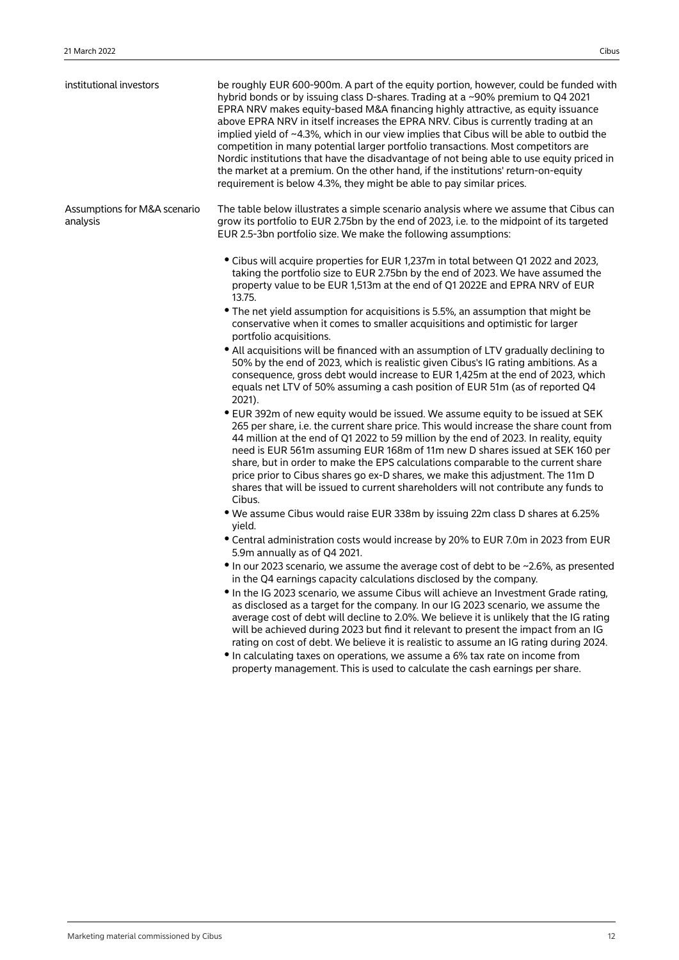| institutional investors                  | be roughly EUR 600-900m. A part of the equity portion, however, could be funded with<br>hybrid bonds or by issuing class D-shares. Trading at a ~90% premium to Q4 2021<br>EPRA NRV makes equity-based M&A financing highly attractive, as equity issuance<br>above EPRA NRV in itself increases the EPRA NRV. Cibus is currently trading at an<br>implied yield of ~4.3%, which in our view implies that Cibus will be able to outbid the<br>competition in many potential larger portfolio transactions. Most competitors are<br>Nordic institutions that have the disadvantage of not being able to use equity priced in<br>the market at a premium. On the other hand, if the institutions' return-on-equity<br>requirement is below 4.3%, they might be able to pay similar prices. |
|------------------------------------------|------------------------------------------------------------------------------------------------------------------------------------------------------------------------------------------------------------------------------------------------------------------------------------------------------------------------------------------------------------------------------------------------------------------------------------------------------------------------------------------------------------------------------------------------------------------------------------------------------------------------------------------------------------------------------------------------------------------------------------------------------------------------------------------|
| Assumptions for M&A scenario<br>analysis | The table below illustrates a simple scenario analysis where we assume that Cibus can<br>grow its portfolio to EUR 2.75bn by the end of 2023, i.e. to the midpoint of its targeted<br>EUR 2.5-3bn portfolio size. We make the following assumptions:                                                                                                                                                                                                                                                                                                                                                                                                                                                                                                                                     |
|                                          | • Cibus will acquire properties for EUR 1,237m in total between Q1 2022 and 2023,<br>taking the portfolio size to EUR 2.75bn by the end of 2023. We have assumed the<br>property value to be EUR 1,513m at the end of Q1 2022E and EPRA NRV of EUR<br>13.75.                                                                                                                                                                                                                                                                                                                                                                                                                                                                                                                             |
|                                          | • The net yield assumption for acquisitions is 5.5%, an assumption that might be<br>conservative when it comes to smaller acquisitions and optimistic for larger<br>portfolio acquisitions.                                                                                                                                                                                                                                                                                                                                                                                                                                                                                                                                                                                              |
|                                          | • All acquisitions will be financed with an assumption of LTV gradually declining to<br>50% by the end of 2023, which is realistic given Cibus's IG rating ambitions. As a<br>consequence, gross debt would increase to EUR 1,425m at the end of 2023, which<br>equals net LTV of 50% assuming a cash position of EUR 51m (as of reported Q4<br>2021).                                                                                                                                                                                                                                                                                                                                                                                                                                   |
|                                          | • EUR 392m of new equity would be issued. We assume equity to be issued at SEK<br>265 per share, i.e. the current share price. This would increase the share count from<br>44 million at the end of Q1 2022 to 59 million by the end of 2023. In reality, equity<br>need is EUR 561m assuming EUR 168m of 11m new D shares issued at SEK 160 per<br>share, but in order to make the EPS calculations comparable to the current share<br>price prior to Cibus shares go ex-D shares, we make this adjustment. The 11m D<br>shares that will be issued to current shareholders will not contribute any funds to<br>Cibus.                                                                                                                                                                  |
|                                          | • We assume Cibus would raise EUR 338m by issuing 22m class D shares at 6.25%<br>yield.                                                                                                                                                                                                                                                                                                                                                                                                                                                                                                                                                                                                                                                                                                  |
|                                          | • Central administration costs would increase by 20% to EUR 7.0m in 2023 from EUR<br>5.9m annually as of Q4 2021.                                                                                                                                                                                                                                                                                                                                                                                                                                                                                                                                                                                                                                                                        |
|                                          | • In our 2023 scenario, we assume the average cost of debt to be ~2.6%, as presented<br>in the Q4 earnings capacity calculations disclosed by the company.                                                                                                                                                                                                                                                                                                                                                                                                                                                                                                                                                                                                                               |
|                                          | In the IG 2023 scenario, we assume Cibus will achieve an Investment Grade rating,<br>as disclosed as a target for the company. In our IG 2023 scenario, we assume the<br>average cost of debt will decline to 2.0%. We believe it is unlikely that the IG rating<br>will be achieved during 2023 but find it relevant to present the impact from an IG<br>rating on cost of debt. We believe it is realistic to assume an IG rating during 2024.                                                                                                                                                                                                                                                                                                                                         |
|                                          | • In calculating taxes on operations, we assume a 6% tax rate on income from<br>property management. This is used to calculate the cash earnings per share.                                                                                                                                                                                                                                                                                                                                                                                                                                                                                                                                                                                                                              |
|                                          |                                                                                                                                                                                                                                                                                                                                                                                                                                                                                                                                                                                                                                                                                                                                                                                          |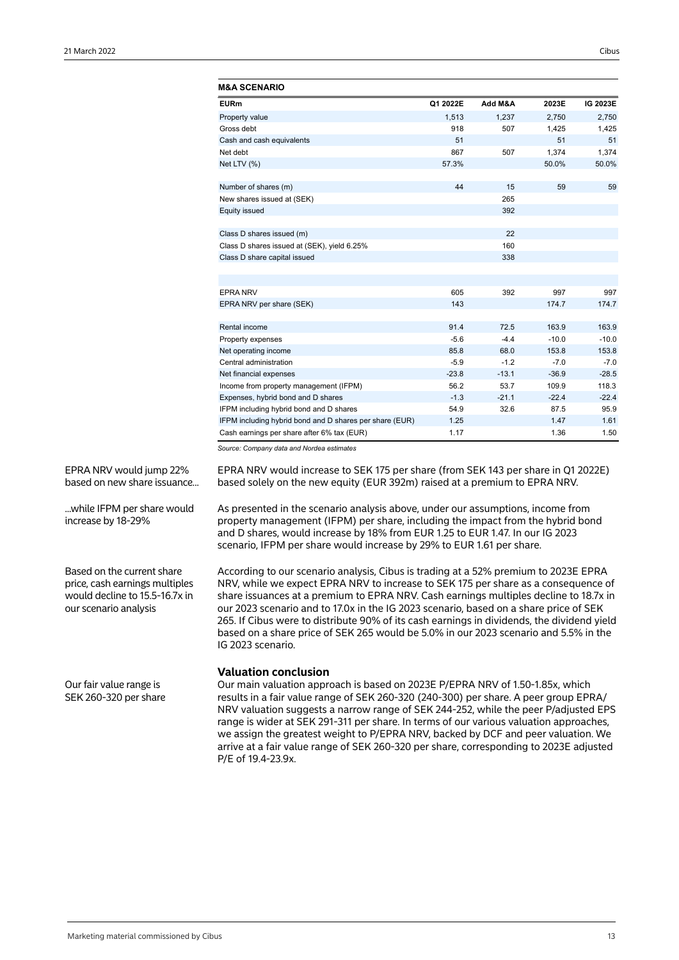| M&A SCENARIO                                            |          |         |         |          |
|---------------------------------------------------------|----------|---------|---------|----------|
| <b>EURm</b>                                             | Q1 2022E | Add M&A | 2023E   | IG 2023E |
| Property value                                          | 1.513    | 1.237   | 2.750   | 2,750    |
| Gross debt                                              | 918      | 507     | 1,425   | 1,425    |
| Cash and cash equivalents                               | 51       |         | 51      | 51       |
| Net debt                                                | 867      | 507     | 1.374   | 1.374    |
| Net LTV (%)                                             | 57.3%    |         | 50.0%   | 50.0%    |
| Number of shares (m)                                    | 44       | 15      | 59      | 59       |
| New shares issued at (SEK)                              |          | 265     |         |          |
| <b>Equity issued</b>                                    |          | 392     |         |          |
|                                                         |          |         |         |          |
| Class D shares issued (m)                               |          | 22      |         |          |
| Class D shares issued at (SEK), yield 6.25%             |          | 160     |         |          |
| Class D share capital issued                            |          | 338     |         |          |
|                                                         |          |         |         |          |
| <b>EPRA NRV</b>                                         | 605      | 392     | 997     | 997      |
| EPRA NRV per share (SEK)                                | 143      |         | 174.7   | 174.7    |
|                                                         |          |         |         |          |
| Rental income                                           | 91.4     | 72.5    | 163.9   | 163.9    |
| Property expenses                                       | $-5.6$   | $-4.4$  | $-10.0$ | $-10.0$  |
| Net operating income                                    | 85.8     | 68.0    | 153.8   | 153.8    |
| Central administration                                  | $-5.9$   | $-1.2$  | $-7.0$  | $-7.0$   |
| Net financial expenses                                  | $-23.8$  | $-13.1$ | $-36.9$ | $-28.5$  |
| Income from property management (IFPM)                  | 56.2     | 53.7    | 109.9   | 118.3    |
| Expenses, hybrid bond and D shares                      | $-1.3$   | $-21.1$ | $-22.4$ | $-22.4$  |
| IFPM including hybrid bond and D shares                 | 54.9     | 32.6    | 87.5    | 95.9     |
| IFPM including hybrid bond and D shares per share (EUR) | 1.25     |         | 1.47    | 1.61     |
| Cash earnings per share after 6% tax (EUR)              | 1.17     |         | 1.36    | 1.50     |

EPRA NRV would jump 22% based on new share issuance...

...while IFPM per share would increase by 18-29%

Based on the current share price, cash earnings multiples would decline to 15.5-16.7x in our scenario analysis

Our fair value range is SEK 260-320 per share EPRA NRV would increase to SEK 175 per share (from SEK 143 per share in Q1 2022E) based solely on the new equity (EUR 392m) raised at a premium to EPRA NRV.

As presented in the scenario analysis above, under our assumptions, income from property management (IFPM) per share, including the impact from the hybrid bond and D shares, would increase by 18% from EUR 1.25 to EUR 1.47. In our IG 2023 scenario, IFPM per share would increase by 29% to EUR 1.61 per share.

According to our scenario analysis, Cibus is trading at a 52% premium to 2023E EPRA NRV, while we expect EPRA NRV to increase to SEK 175 per share as a consequence of share issuances at a premium to EPRA NRV. Cash earnings multiples decline to 18.7x in our 2023 scenario and to 17.0x in the IG 2023 scenario, based on a share price of SEK 265. If Cibus were to distribute 90% of its cash earnings in dividends, the dividend yield based on a share price of SEK 265 would be 5.0% in our 2023 scenario and 5.5% in the IG 2023 scenario.

## **Valuation conclusion**

Our main valuation approach is based on 2023E P/EPRA NRV of 1.50-1.85x, which results in a fair value range of SEK 260-320 (240-300) per share. A peer group EPRA/ NRV valuation suggests a narrow range of SEK 244-252, while the peer P/adjusted EPS range is wider at SEK 291-311 per share. In terms of our various valuation approaches, we assign the greatest weight to P/EPRA NRV, backed by DCF and peer valuation. We arrive at a fair value range of SEK 260-320 per share, corresponding to 2023E adjusted P/E of 19.4-23.9x.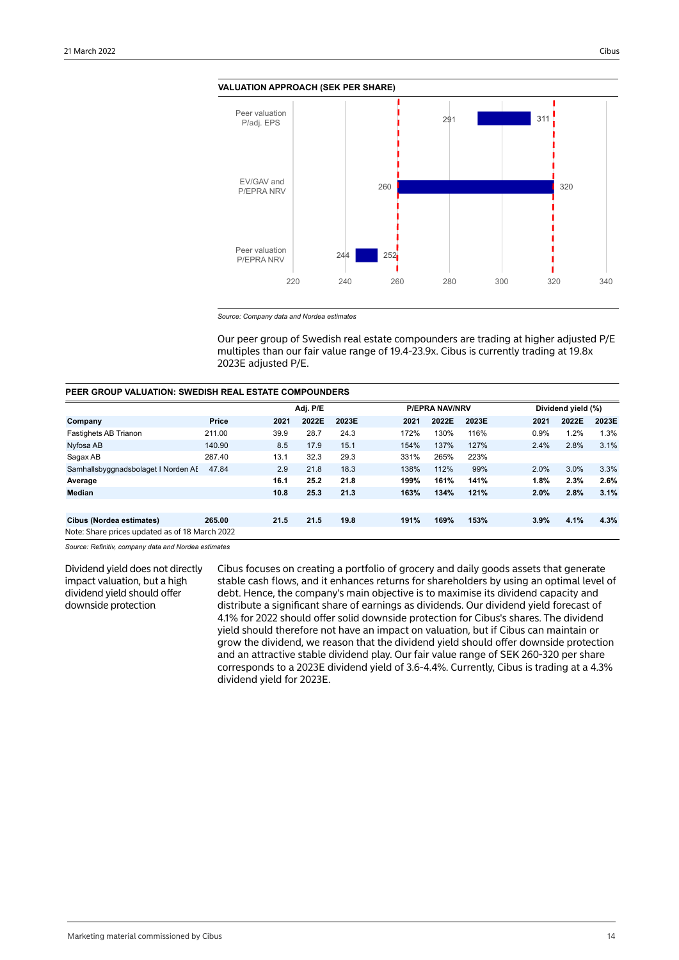![](_page_13_Figure_2.jpeg)

![](_page_13_Figure_3.jpeg)

*Source: Company data and Nordea estimates*

Our peer group of Swedish real estate compounders are trading at higher adjusted P/E multiples than our fair value range of 19.4-23.9x. Cibus is currently trading at 19.8x 2023E adjusted P/E.

### **PEER GROUP VALUATION: SWEDISH REAL ESTATE COMPOUNDERS**

|                                                |        | Adj. P/E |       |       | <b>P/EPRA NAV/NRV</b> |      |       | Dividend yield (%) |      |       |       |
|------------------------------------------------|--------|----------|-------|-------|-----------------------|------|-------|--------------------|------|-------|-------|
| Company                                        | Price  | 2021     | 2022E | 2023E |                       | 2021 | 2022E | 2023E              | 2021 | 2022E | 2023E |
| Fastighets AB Trianon                          | 211.00 | 39.9     | 28.7  | 24.3  |                       | 172% | 130%  | 116%               | 0.9% | 1.2%  | 1.3%  |
| Nyfosa AB                                      | 140.90 | 8.5      | 17.9  | 15.1  |                       | 154% | 137%  | 127%               | 2.4% | 2.8%  | 3.1%  |
| Sagax AB                                       | 287.40 | 13.1     | 32.3  | 29.3  |                       | 331% | 265%  | 223%               |      |       |       |
| Samhallsbyggnadsbolaget I Norden AI            | 47.84  | 2.9      | 21.8  | 18.3  |                       | 138% | 112%  | 99%                | 2.0% | 3.0%  | 3.3%  |
| Average                                        |        | 16.1     | 25.2  | 21.8  |                       | 199% | 161%  | 141%               | 1.8% | 2.3%  | 2.6%  |
| <b>Median</b>                                  |        | 10.8     | 25.3  | 21.3  |                       | 163% | 134%  | 121%               | 2.0% | 2.8%  | 3.1%  |
|                                                |        |          |       |       |                       |      |       |                    |      |       |       |
| Cibus (Nordea estimates)                       | 265.00 | 21.5     | 21.5  | 19.8  |                       | 191% | 169%  | 153%               | 3.9% | 4.1%  | 4.3%  |
| Note: Share prices updated as of 18 March 2022 |        |          |       |       |                       |      |       |                    |      |       |       |

*Source: Refinitiv, company data and Nordea estimates*

Dividend yield does not directly impact valuation, but a high dividend yield should offer downside protection

Cibus focuses on creating a portfolio of grocery and daily goods assets that generate stable cash flows, and it enhances returns for shareholders by using an optimal level of debt. Hence, the company's main objective is to maximise its dividend capacity and distribute a significant share of earnings as dividends. Our dividend yield forecast of 4.1% for 2022 should offer solid downside protection for Cibus's shares. The dividend yield should therefore not have an impact on valuation, but if Cibus can maintain or grow the dividend, we reason that the dividend yield should offer downside protection and an attractive stable dividend play. Our fair value range of SEK 260-320 per share corresponds to a 2023E dividend yield of 3.6-4.4%. Currently, Cibus is trading at a 4.3% dividend yield for 2023E.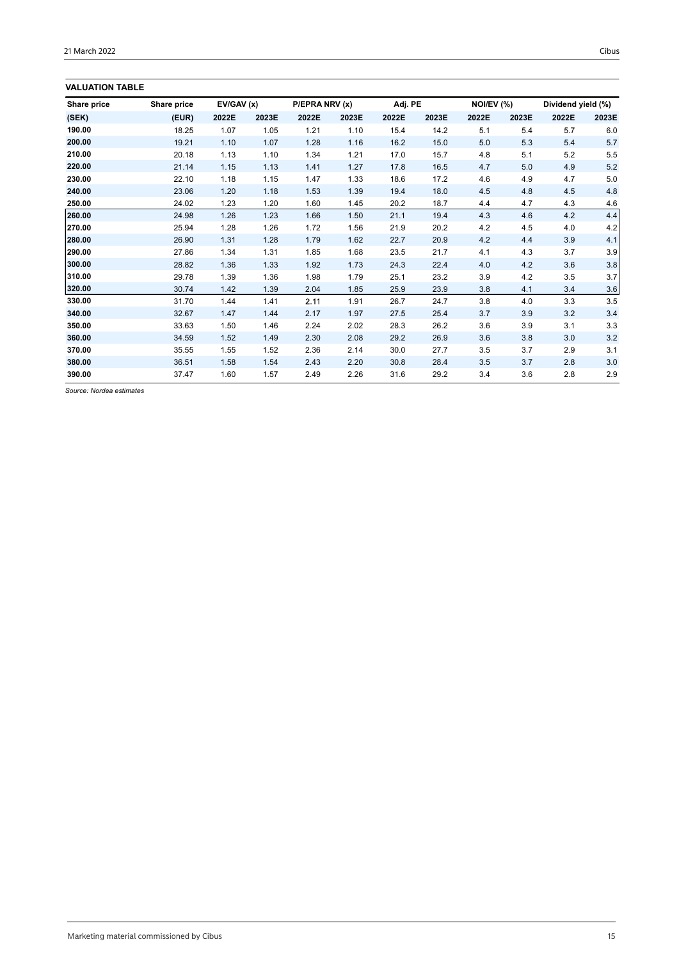## **VALUATION TABLE**

| Share price | Share price | EV/GAV(x) |       | P/EPRA NRV (x) |       | Adj. PE |       | NOI/EV (%) |       | Dividend yield (%) |         |
|-------------|-------------|-----------|-------|----------------|-------|---------|-------|------------|-------|--------------------|---------|
| (SEK)       | (EUR)       | 2022E     | 2023E | 2022E          | 2023E | 2022E   | 2023E | 2022E      | 2023E | 2022E              | 2023E   |
| 190.00      | 18.25       | 1.07      | 1.05  | 1.21           | 1.10  | 15.4    | 14.2  | 5.1        | 5.4   | 5.7                | 6.0     |
| 200.00      | 19.21       | 1.10      | 1.07  | 1.28           | 1.16  | 16.2    | 15.0  | 5.0        | 5.3   | 5.4                | 5.7     |
| 210.00      | 20.18       | 1.13      | 1.10  | 1.34           | 1.21  | 17.0    | 15.7  | 4.8        | 5.1   | 5.2                | 5.5     |
| 220.00      | 21.14       | 1.15      | 1.13  | 1.41           | 1.27  | 17.8    | 16.5  | 4.7        | 5.0   | 4.9                | $5.2\,$ |
| 230.00      | 22.10       | 1.18      | 1.15  | 1.47           | 1.33  | 18.6    | 17.2  | 4.6        | 4.9   | 4.7                | 5.0     |
| 240.00      | 23.06       | 1.20      | 1.18  | 1.53           | 1.39  | 19.4    | 18.0  | 4.5        | 4.8   | 4.5                | 4.8     |
| 250.00      | 24.02       | 1.23      | 1.20  | 1.60           | 1.45  | 20.2    | 18.7  | 4.4        | 4.7   | 4.3                | 4.6     |
| 260.00      | 24.98       | 1.26      | 1.23  | 1.66           | 1.50  | 21.1    | 19.4  | 4.3        | 4.6   | 4.2                | 4.4     |
| 270.00      | 25.94       | 1.28      | 1.26  | 1.72           | 1.56  | 21.9    | 20.2  | 4.2        | 4.5   | 4.0                | 4.2     |
| 280.00      | 26.90       | 1.31      | 1.28  | 1.79           | 1.62  | 22.7    | 20.9  | 4.2        | 4.4   | 3.9                | 4.1     |
| 290.00      | 27.86       | 1.34      | 1.31  | 1.85           | 1.68  | 23.5    | 21.7  | 4.1        | 4.3   | 3.7                | 3.9     |
| 300.00      | 28.82       | 1.36      | 1.33  | 1.92           | 1.73  | 24.3    | 22.4  | 4.0        | 4.2   | 3.6                | 3.8     |
| 310.00      | 29.78       | 1.39      | 1.36  | 1.98           | 1.79  | 25.1    | 23.2  | 3.9        | 4.2   | 3.5                | 3.7     |
| 320.00      | 30.74       | 1.42      | 1.39  | 2.04           | 1.85  | 25.9    | 23.9  | 3.8        | 4.1   | 3.4                | 3.6     |
| 330.00      | 31.70       | 1.44      | 1.41  | 2.11           | 1.91  | 26.7    | 24.7  | 3.8        | 4.0   | 3.3                | 3.5     |
| 340.00      | 32.67       | 1.47      | 1.44  | 2.17           | 1.97  | 27.5    | 25.4  | 3.7        | 3.9   | 3.2                | 3.4     |
| 350.00      | 33.63       | 1.50      | 1.46  | 2.24           | 2.02  | 28.3    | 26.2  | 3.6        | 3.9   | 3.1                | 3.3     |
| 360.00      | 34.59       | 1.52      | 1.49  | 2.30           | 2.08  | 29.2    | 26.9  | 3.6        | 3.8   | 3.0                | 3.2     |
| 370.00      | 35.55       | 1.55      | 1.52  | 2.36           | 2.14  | 30.0    | 27.7  | 3.5        | 3.7   | 2.9                | 3.1     |
| 380.00      | 36.51       | 1.58      | 1.54  | 2.43           | 2.20  | 30.8    | 28.4  | 3.5        | 3.7   | 2.8                | 3.0     |
| 390.00      | 37.47       | 1.60      | 1.57  | 2.49           | 2.26  | 31.6    | 29.2  | 3.4        | 3.6   | 2.8                | 2.9     |

*Source: Nordea estimates*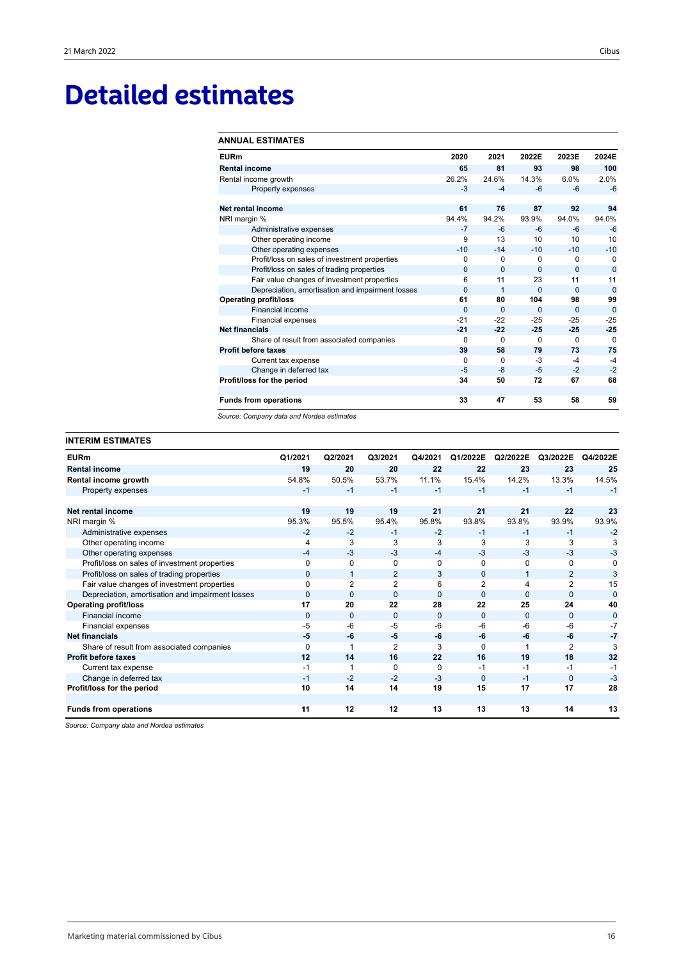## **Detailed estimates**

### **ANNUAL ESTIMATES**

| <b>EURm</b>                                      | 2020     | 2021     | 2022E    | 2023E    | 2024E    |
|--------------------------------------------------|----------|----------|----------|----------|----------|
| <b>Rental income</b>                             | 65       | 81       | 93       | 98       | 100      |
| Rental income growth                             | 26.2%    | 24.6%    | 14.3%    | 6.0%     | 2.0%     |
| Property expenses                                | $-3$     | $-4$     | $-6$     | $-6$     | $-6$     |
| Net rental income                                | 61       | 76       | 87       | 92       | 94       |
| NRI margin %                                     | 94.4%    | 94.2%    | 93.9%    | 94.0%    | 94.0%    |
| Administrative expenses                          | $-7$     | $-6$     | -6       | $-6$     | $-6$     |
| Other operating income                           | 9        | 13       | 10       | 10       | 10       |
| Other operating expenses                         | $-10$    | $-14$    | $-10$    | $-10$    | $-10$    |
| Profit/loss on sales of investment properties    | 0        | $\Omega$ | 0        | 0        | $\Omega$ |
| Profit/loss on sales of trading properties       | $\Omega$ | $\Omega$ | $\Omega$ | $\Omega$ | $\Omega$ |
| Fair value changes of investment properties      | 6        | 11       | 23       | 11       | 11       |
| Depreciation, amortisation and impairment losses | 0        | 1        | $\Omega$ | $\Omega$ | $\Omega$ |
| <b>Operating profit/loss</b>                     | 61       | 80       | 104      | 98       | 99       |
| Financial income                                 | $\Omega$ | $\Omega$ | $\Omega$ | $\Omega$ | $\Omega$ |
| <b>Financial expenses</b>                        | $-21$    | $-22$    | $-25$    | $-25$    | $-25$    |
| <b>Net financials</b>                            | $-21$    | $-22$    | $-25$    | $-25$    | $-25$    |
| Share of result from associated companies        | 0        | $\Omega$ | $\Omega$ | $\Omega$ | $\Omega$ |
| <b>Profit before taxes</b>                       | 39       | 58       | 79       | 73       | 75       |
| Current tax expense                              | $\Omega$ | $\Omega$ | $-3$     | $-4$     | $-4$     |
| Change in deferred tax                           | $-5$     | $-8$     | $-5$     | $-2$     | $-2$     |
| Profit/loss for the period                       | 34       | 50       | 72       | 67       | 68       |
| <b>Funds from operations</b>                     | 33       | 47       | 53       | 58       | 59       |

*Source: Company data and Nordea estimates*

## **INTERIM ESTIMATES**

| <b>EURm</b>                                      | Q1/2021      | Q2/2021        | Q3/2021        | Q4/2021      | Q1/2022E       | Q2/2022E     | Q3/2022E       | Q4/2022E |
|--------------------------------------------------|--------------|----------------|----------------|--------------|----------------|--------------|----------------|----------|
| <b>Rental income</b>                             | 19           | 20             | 20             | 22           | 22             | 23           | 23             | 25       |
| Rental income growth                             | 54.8%        | 50.5%          | 53.7%          | 11.1%        | 15.4%          | 14.2%        | 13.3%          | 14.5%    |
| Property expenses                                | $-1$         | $-1$           | $-1$           | $-1$         | $-1$           | $-1$         | $-1$           | $-1$     |
|                                                  |              |                |                |              |                |              |                |          |
| Net rental income                                | 19           | 19             | 19             | 21           | 21             | 21           | 22             | 23       |
| NRI margin %                                     | 95.3%        | 95.5%          | 95.4%          | 95.8%        | 93.8%          | 93.8%        | 93.9%          | 93.9%    |
| Administrative expenses                          | $-2$         | $-2$           | $-1$           | $-2$         | $-1$           | $-1$         | $-1$           | $-2$     |
| Other operating income                           | 4            | 3              | 3              | 3            | 3              | 3            | 3              | 3        |
| Other operating expenses                         | $-4$         | $-3$           | $-3$           | $-4$         | $-3$           | $-3$         | $-3$           | $-3$     |
| Profit/loss on sales of investment properties    | <sup>0</sup> | $\Omega$       | $\Omega$       | $\Omega$     | $\Omega$       | $\Omega$     | $\Omega$       |          |
| Profit/loss on sales of trading properties       | $\Omega$     | $\mathbf 1$    | $\overline{2}$ | 3            | $\Omega$       | 1            | $\overline{2}$ | 3        |
| Fair value changes of investment properties      | $\Omega$     | $\overline{2}$ | $\overline{2}$ | 6            | $\overline{2}$ | 4            | $\overline{2}$ | 15       |
| Depreciation, amortisation and impairment losses | $\Omega$     | $\Omega$       | $\Omega$       | $\mathbf{0}$ | $\Omega$       | 0            | $\Omega$       | $\Omega$ |
| <b>Operating profit/loss</b>                     | 17           | 20             | 22             | 28           | 22             | 25           | 24             | 40       |
| <b>Financial income</b>                          | $\Omega$     | $\Omega$       | $\Omega$       | $\Omega$     | $\Omega$       | $\mathbf{0}$ | $\Omega$       | $\Omega$ |
| Financial expenses                               | -5           | -6             | $-5$           | $-6$         | $-6$           | $-6$         | $-6$           | -7       |
| <b>Net financials</b>                            | -5           | -6             | -5             | $-6$         | -6             | -6           | -6             | -7       |
| Share of result from associated companies        | $\Omega$     |                | $\overline{2}$ | 3            | $\Omega$       |              | $\overline{2}$ | 3        |
| <b>Profit before taxes</b>                       | 12           | 14             | 16             | 22           | 16             | 19           | 18             | 32       |
| Current tax expense                              | $-1$         | 1              | $\Omega$       | $\Omega$     | $-1$           | $-1$         | $-1$           | $-1$     |
| Change in deferred tax                           | $-1$         | $-2$           | $-2$           | $-3$         | $\Omega$       | $-1$         | $\Omega$       | $-3$     |
| Profit/loss for the period                       | 10           | 14             | 14             | 19           | 15             | 17           | 17             | 28       |
|                                                  |              |                |                |              |                |              |                |          |
| <b>Funds from operations</b>                     | 11           | 12             | 12             | 13           | 13             | 13           | 14             | 13       |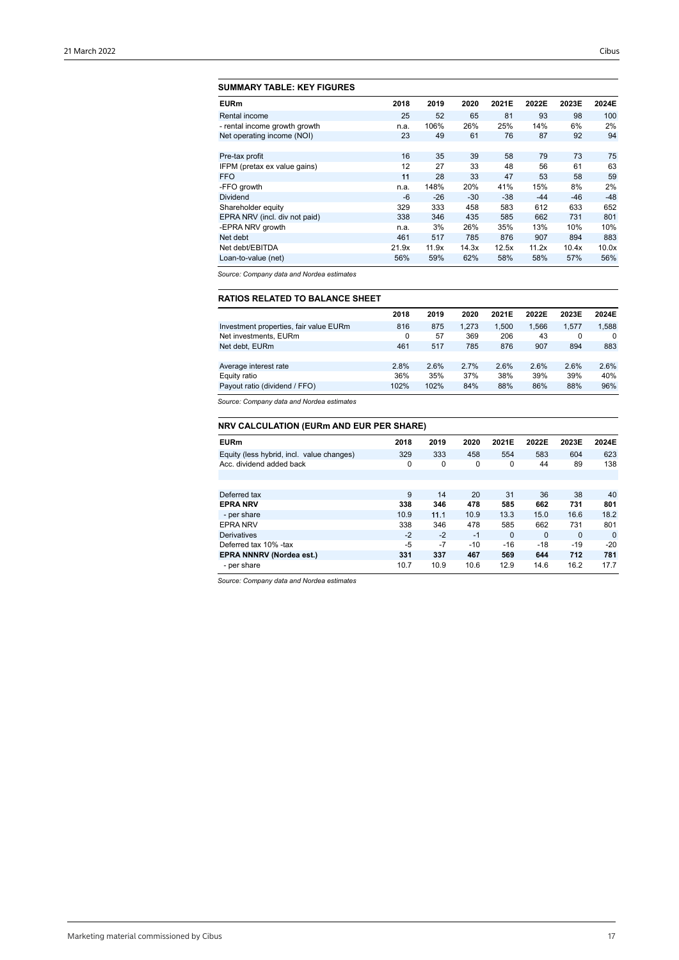## **SUMMARY TABLE: KEY FIGURES**

| <b>EURm</b>                   | 2018  | 2019  | 2020  | 2021E | 2022E | 2023E | 2024E |
|-------------------------------|-------|-------|-------|-------|-------|-------|-------|
| Rental income                 | 25    | 52    | 65    | 81    | 93    | 98    | 100   |
| - rental income growth growth | n.a.  | 106%  | 26%   | 25%   | 14%   | 6%    | 2%    |
| Net operating income (NOI)    | 23    | 49    | 61    | 76    | 87    | 92    | 94    |
|                               |       |       |       |       |       |       |       |
| Pre-tax profit                | 16    | 35    | 39    | 58    | 79    | 73    | 75    |
| IFPM (pretax ex value gains)  | 12    | 27    | 33    | 48    | 56    | 61    | 63    |
| <b>FFO</b>                    | 11    | 28    | 33    | 47    | 53    | 58    | 59    |
| -FFO growth                   | n.a.  | 148%  | 20%   | 41%   | 15%   | 8%    | 2%    |
| Dividend                      | -6    | $-26$ | $-30$ | $-38$ | $-44$ | $-46$ | $-48$ |
| Shareholder equity            | 329   | 333   | 458   | 583   | 612   | 633   | 652   |
| EPRA NRV (incl. div not paid) | 338   | 346   | 435   | 585   | 662   | 731   | 801   |
| -EPRA NRV growth              | n.a.  | 3%    | 26%   | 35%   | 13%   | 10%   | 10%   |
| Net debt                      | 461   | 517   | 785   | 876   | 907   | 894   | 883   |
| Net debt/EBITDA               | 21.9x | 11.9x | 14.3x | 12.5x | 11.2x | 10.4x | 10.0x |
| Loan-to-value (net)           | 56%   | 59%   | 62%   | 58%   | 58%   | 57%   | 56%   |

*Source: Company data and Nordea estimates*

## **RATIOS RELATED TO BALANCE SHEET**

|                                        | 2018 | 2019 | 2020  | 2021E | 2022E | 2023E | 2024E    |
|----------------------------------------|------|------|-------|-------|-------|-------|----------|
| Investment properties, fair value EURm | 816  | 875  | 1.273 | 1.500 | 1,566 | 1.577 | 1.588    |
| Net investments, EURm                  | 0    | 57   | 369   | 206   | 43    | 0     | $\Omega$ |
| Net debt, EURm                         | 461  | 517  | 785   | 876   | 907   | 894   | 883      |
|                                        |      |      |       |       |       |       |          |
| Average interest rate                  | 2.8% | 2.6% | 2.7%  | 2.6%  | 2.6%  | 2.6%  | 2.6%     |
| Equity ratio                           | 36%  | 35%  | 37%   | 38%   | 39%   | 39%   | 40%      |
| Payout ratio (dividend / FFO)          | 102% | 102% | 84%   | 88%   | 86%   | 88%   | 96%      |

*Source: Company data and Nordea estimates*

## **NRV CALCULATION (EURm AND EUR PER SHARE)**

| <b>EURm</b>                               | 2018 | 2019 | 2020  | 2021E    | 2022E    | 2023E    | 2024E    |
|-------------------------------------------|------|------|-------|----------|----------|----------|----------|
| Equity (less hybrid, incl. value changes) | 329  | 333  | 458   | 554      | 583      | 604      | 623      |
| Acc. dividend added back                  | 0    | 0    | 0     | 0        | 44       | 89       | 138      |
|                                           |      |      |       |          |          |          |          |
|                                           |      |      |       |          |          |          |          |
| Deferred tax                              | 9    | 14   | 20    | 31       | 36       | 38       | 40       |
| <b>EPRA NRV</b>                           | 338  | 346  | 478   | 585      | 662      | 731      | 801      |
| - per share                               | 10.9 | 11.1 | 10.9  | 13.3     | 15.0     | 16.6     | 18.2     |
| <b>EPRA NRV</b>                           | 338  | 346  | 478   | 585      | 662      | 731      | 801      |
| <b>Derivatives</b>                        | $-2$ | $-2$ | $-1$  | $\Omega$ | $\Omega$ | $\Omega$ | $\Omega$ |
| Deferred tax 10% -tax                     | $-5$ | $-7$ | $-10$ | -16      | $-18$    | -19      | $-20$    |
| <b>EPRA NNNRV (Nordea est.)</b>           | 331  | 337  | 467   | 569      | 644      | 712      | 781      |
| - per share                               | 10.7 | 10.9 | 10.6  | 12.9     | 14.6     | 16.2     | 17.7     |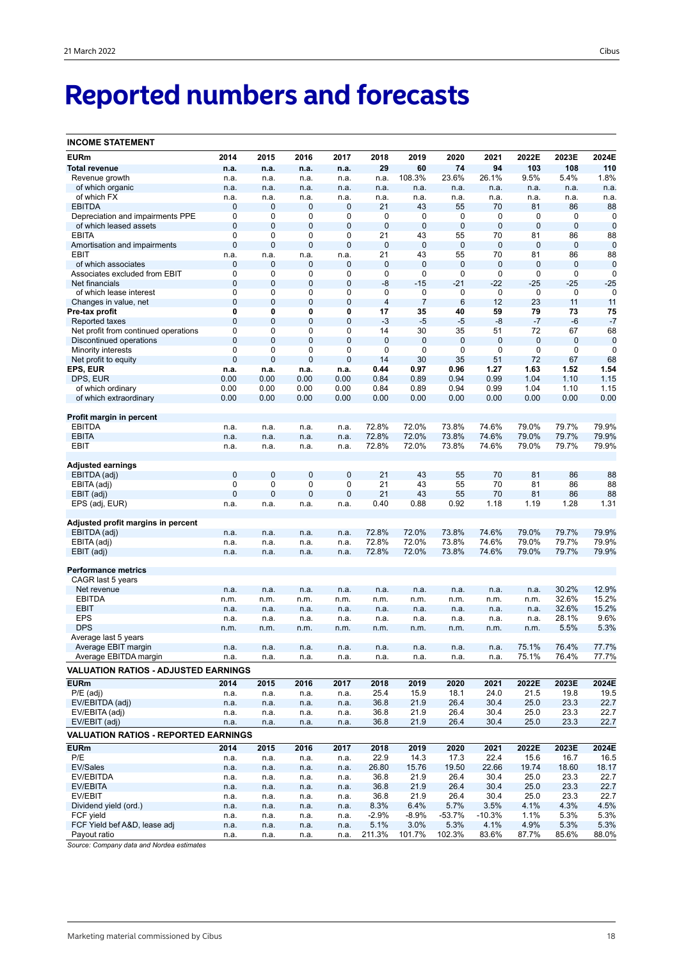# **Reported numbers and forecasts**

| <b>INCOME STATEMENT</b>                     |              |             |                |             |                |                |                 |              |              |             |             |
|---------------------------------------------|--------------|-------------|----------------|-------------|----------------|----------------|-----------------|--------------|--------------|-------------|-------------|
| <b>EURm</b>                                 | 2014         | 2015        | 2016           | 2017        | 2018           | 2019           | 2020            | 2021         | 2022E        | 2023E       | 2024E       |
| <b>Total revenue</b>                        | n.a.         | n.a.        | n.a.           | n.a.        | 29             | 60             | 74              | 94           | 103          | 108         | 110         |
| Revenue growth                              | n.a.         | n.a.        | n.a.           | n.a.        | n.a.           | 108.3%         | 23.6%           | 26.1%        | 9.5%         | 5.4%        | 1.8%        |
| of which organic                            | n.a.         | n.a.        | n.a.           | n.a.        | n.a.           | n.a.           | n.a.            | n.a.         | n.a.         | n.a.        | n.a.        |
| of which FX                                 | n.a.         | n.a.        | n.a.           | n.a.        | n.a.           | n.a.           | n.a.            | n.a.         | n.a.         | n.a.        | n.a.        |
| <b>EBITDA</b>                               | 0            | $\mathbf 0$ | $\mathbf 0$    | 0           | 21             | 43             | 55              | 70           | 81           | 86          | 88          |
| Depreciation and impairments PPE            | 0            | 0           | 0              | 0           | 0              | 0              | 0               | 0            | 0            | 0           | 0           |
|                                             | 0            | $\mathbf 0$ | $\mathbf 0$    | 0           | $\mathbf 0$    | $\mathbf 0$    | $\mathbf 0$     | 0            | $\mathbf 0$  | $\mathbf 0$ | $\mathbf 0$ |
| of which leased assets<br><b>EBITA</b>      |              |             |                |             |                |                |                 |              |              |             |             |
|                                             | 0            | 0           | 0              | 0           | 21             | 43             | 55              | 70           | 81           | 86          | 88          |
| Amortisation and impairments                | 0            | $\pmb{0}$   | $\mathbf 0$    | 0           | $\mathbf 0$    | $\mathbf 0$    | $\mathbf 0$     | 0            | $\mathbf 0$  | 0           | $\mathbf 0$ |
| EBIT                                        | n.a.         | n.a.        | n.a.           | n.a.        | 21             | 43             | 55              | 70           | 81           | 86          | 88          |
| of which associates                         | 0            | $\mathbf 0$ | $\mathbf 0$    | 0           | $\mathbf 0$    | $\mathbf 0$    | $\mathbf 0$     | $\mathbf{0}$ | $\mathbf 0$  | 0           | $\mathbf 0$ |
| Associates excluded from EBIT               | 0            | 0           | 0              | 0           | $\mathbf 0$    | 0              | 0               | 0            | $\mathbf 0$  | 0           | $\mathbf 0$ |
| Net financials                              | 0            | $\mathbf 0$ | $\mathbf 0$    | $\mathbf 0$ | $-8$           | $-15$          | $-21$           | $-22$        | $-25$        | $-25$       | $-25$       |
| of which lease interest                     | 0            | 0           | 0              | 0           | $\mathbf 0$    | 0              | $\mathbf 0$     | 0            | $\mathbf 0$  | 0           | $\mathbf 0$ |
| Changes in value, net                       | 0            | $\mathbf 0$ | $\overline{0}$ | $\mathbf 0$ | $\overline{4}$ | $\overline{7}$ | $6\phantom{1}6$ | 12           | 23           | 11          | 11          |
| Pre-tax profit                              | 0            | 0           | 0              | 0           | 17             | 35             | 40              | 59           | 79           | 73          | 75          |
| <b>Reported taxes</b>                       | $\mathbf 0$  | $\mathbf 0$ | $\mathbf 0$    | 0           | $-3$           | $-5$           | $-5$            | $-8$         | $-7$         | $-6$        | $-7$        |
| Net profit from continued operations        | 0            | 0           | 0              | 0           | 14             | 30             | 35              | 51           | 72           | 67          | 68          |
| Discontinued operations                     | 0            | $\mathbf 0$ | $\mathbf 0$    | 0           | $\mathbf 0$    | $\mathbf 0$    | $\mathbf 0$     | 0            | $\mathbf{0}$ | 0           | $\mathbf 0$ |
| Minority interests                          | 0            | 0           | 0              | 0           | $\mathbf 0$    | $\mathbf 0$    | 0               | 0            | $\mathbf 0$  | 0           | $\mathbf 0$ |
| Net profit to equity                        | $\mathbf{0}$ | $\mathbf 0$ | $\mathbf 0$    | 0           | 14             | 30             | 35              | 51           | 72           | 67          | 68          |
| EPS, EUR                                    | n.a.         | n.a.        | n.a.           | n.a.        | 0.44           | 0.97           | 0.96            | 1.27         | 1.63         | 1.52        | 1.54        |
| DPS, EUR                                    | 0.00         | 0.00        | 0.00           | 0.00        | 0.84           | 0.89           | 0.94            | 0.99         | 1.04         | 1.10        | 1.15        |
| of which ordinary                           | 0.00         | 0.00        | 0.00           | 0.00        | 0.84           | 0.89           | 0.94            | 0.99         | 1.04         | 1.10        | 1.15        |
| of which extraordinary                      | 0.00         | 0.00        | 0.00           | 0.00        | 0.00           | 0.00           | 0.00            | 0.00         | 0.00         | 0.00        | 0.00        |
|                                             |              |             |                |             |                |                |                 |              |              |             |             |
| Profit margin in percent                    |              |             |                |             |                |                |                 |              |              |             |             |
| <b>EBITDA</b>                               | n.a.         | n.a.        | n.a.           | n.a.        | 72.8%          | 72.0%          | 73.8%           | 74.6%        | 79.0%        | 79.7%       | 79.9%       |
| <b>EBITA</b>                                | n.a.         | n.a.        | n.a.           | n.a.        | 72.8%          | 72.0%          | 73.8%           | 74.6%        | 79.0%        | 79.7%       | 79.9%       |
| EBIT                                        | n.a.         | n.a.        | n.a.           | n.a.        | 72.8%          | 72.0%          | 73.8%           | 74.6%        | 79.0%        | 79.7%       | 79.9%       |
|                                             |              |             |                |             |                |                |                 |              |              |             |             |
| Adjusted earnings                           |              |             |                |             |                |                |                 |              |              |             |             |
|                                             | 0            | $\mathbf 0$ | $\mathbf 0$    | $\mathbf 0$ | 21             | 43             | 55              | 70           | 81           | 86          | 88          |
| EBITDA (adj)                                |              |             |                |             |                |                |                 |              |              |             |             |
| EBITA (adj)                                 | 0            | 0           | 0              | 0           | 21             | 43             | 55              | 70           | 81           | 86          | 88          |
| EBIT (adj)                                  | $\mathbf{0}$ | $\mathbf 0$ | $\mathbf 0$    | $\mathbf 0$ | 21             | 43             | 55              | 70           | 81           | 86          | 88          |
| EPS (adj, EUR)                              | n.a.         | n.a.        | n.a.           | n.a.        | 0.40           | 0.88           | 0.92            | 1.18         | 1.19         | 1.28        | 1.31        |
|                                             |              |             |                |             |                |                |                 |              |              |             |             |
| Adjusted profit margins in percent          |              |             |                |             |                |                |                 |              |              |             |             |
| EBITDA (adj)                                | n.a.         | n.a.        | n.a.           | n.a.        | 72.8%          | 72.0%          | 73.8%           | 74.6%        | 79.0%        | 79.7%       | 79.9%       |
| EBITA (adj)                                 | n.a.         | n.a.        | n.a.           | n.a.        | 72.8%          | 72.0%          | 73.8%           | 74.6%        | 79.0%        | 79.7%       | 79.9%       |
| EBIT (adj)                                  | n.a.         | n.a.        | n.a.           | n.a.        | 72.8%          | 72.0%          | 73.8%           | 74.6%        | 79.0%        | 79.7%       | 79.9%       |
|                                             |              |             |                |             |                |                |                 |              |              |             |             |
| <b>Performance metrics</b>                  |              |             |                |             |                |                |                 |              |              |             |             |
| CAGR last 5 years                           |              |             |                |             |                |                |                 |              |              |             |             |
| Net revenue                                 | n.a.         | n.a.        | n.a.           | n.a.        | n.a.           | n.a.           | n.a.            | n.a.         | n.a.         | 30.2%       | 12.9%       |
| <b>EBITDA</b>                               | n.m.         | n.m.        | n.m.           | n.m.        | n.m.           | n.m.           | n.m.            | n.m.         | n.m.         | 32.6%       | 15.2%       |
| <b>EBIT</b>                                 | n.a.         | n.a.        | n.a.           | n.a.        | n.a.           | n.a.           | n.a.            | n.a.         | n.a.         | 32.6%       | 15.2%       |
| <b>EPS</b>                                  | n.a.         | n.a.        | n.a.           | n.a.        | n.a.           | n.a.           | n.a.            | n.a.         | n.a.         | 28.1%       | 9.6%        |
| <b>DPS</b>                                  | n.m.         | n.m.        | n.m.           | n.m.        | n.m.           | n.m.           | n.m.            | n.m.         | n.m.         | 5.5%        | 5.3%        |
| Average last 5 years                        |              |             |                |             |                |                |                 |              |              |             |             |
| Average EBIT margin                         | n a          | n.a         | n.a.           | n.a.        | n.a.           | n.a            | n.a.            | n.a          | 75.1%        | 76.4%       | 77 7%       |
| Average EBITDA margin                       | n.a.         | n.a.        | n.a.           | n.a.        | n.a.           | n.a.           | n.a.            | n.a.         | 75.1%        | 76.4%       | 77.7%       |
|                                             |              |             |                |             |                |                |                 |              |              |             |             |
| <b>VALUATION RATIOS - ADJUSTED EARNINGS</b> |              |             |                |             |                |                |                 |              |              |             |             |
| <b>EURm</b>                                 | 2014         | 2015        | 2016           | 2017        | 2018           | 2019           | 2020            | 2021         | 2022E        | 2023E       | 2024E       |
| $P/E$ (adj)                                 | n.a.         | n.a.        | n.a.           | n.a.        | 25.4           | 15.9           | 18.1            | 24.0         | 21.5         | 19.8        | 19.5        |
| EV/EBITDA (adj)                             | n.a.         | n.a.        | n.a.           | n.a.        | 36.8           | 21.9           | 26.4            | 30.4         | 25.0         | 23.3        | 22.7        |
| EV/EBITA (adj)                              | n.a.         | n.a.        | n.a.           | n.a.        | 36.8           | 21.9           | 26.4            | 30.4         | 25.0         | 23.3        | 22.7        |
| EV/EBIT (adj)                               | n.a.         | n.a.        | n.a.           | n.a.        | 36.8           | 21.9           | 26.4            | 30.4         | 25.0         | 23.3        | 22.7        |
|                                             |              |             |                |             |                |                |                 |              |              |             |             |
| <b>VALUATION RATIOS - REPORTED EARNINGS</b> |              |             |                |             |                |                |                 |              |              |             |             |
| <b>EURm</b>                                 | 2014         | 2015        | 2016           | 2017        | 2018           | 2019           | 2020            | 2021         | 2022E        | 2023E       | 2024E       |
| P/E                                         | n.a.         | n.a.        | n.a.           | n.a.        | 22.9           | 14.3           | 17.3            | 22.4         | 15.6         | 16.7        | 16.5        |
| <b>EV/Sales</b>                             | n.a.         | n.a.        | n.a.           | n.a.        | 26.80          | 15.76          | 19.50           | 22.66        | 19.74        | 18.60       | 18.17       |
| EV/EBITDA                                   | n.a.         | n.a.        | n.a.           | n.a.        | 36.8           | 21.9           | 26.4            | 30.4         | 25.0         | 23.3        | 22.7        |
| EV/EBITA                                    | n.a.         | n.a.        | n.a.           | n.a.        | 36.8           | 21.9           | 26.4            | 30.4         | 25.0         | 23.3        | 22.7        |
| EV/EBIT                                     | n.a.         | n.a.        | n.a.           | n.a.        | 36.8           | 21.9           | 26.4            | 30.4         | 25.0         | 23.3        | 22.7        |
| Dividend yield (ord.)                       | n.a.         | n.a.        | n.a.           | n.a.        | 8.3%           | 6.4%           | 5.7%            | 3.5%         | 4.1%         | 4.3%        | 4.5%        |
| FCF yield                                   | n.a.         | n.a.        | n.a.           | n.a.        | $-2.9%$        | $-8.9%$        | $-53.7%$        | $-10.3%$     | 1.1%         | 5.3%        | 5.3%        |
| FCF Yield bef A&D, lease adj                | n.a.         | n.a.        | n.a.           | n.a.        | 5.1%           | 3.0%           | 5.3%            | 4.1%         | 4.9%         | 5.3%        | 5.3%        |
| Payout ratio                                | n.a.         | n.a.        | n.a.           | n.a.        | 211.3%         | 101.7%         | 102.3%          | 83.6%        | 87.7%        | 85.6%       | 88.0%       |
|                                             |              |             |                |             |                |                |                 |              |              |             |             |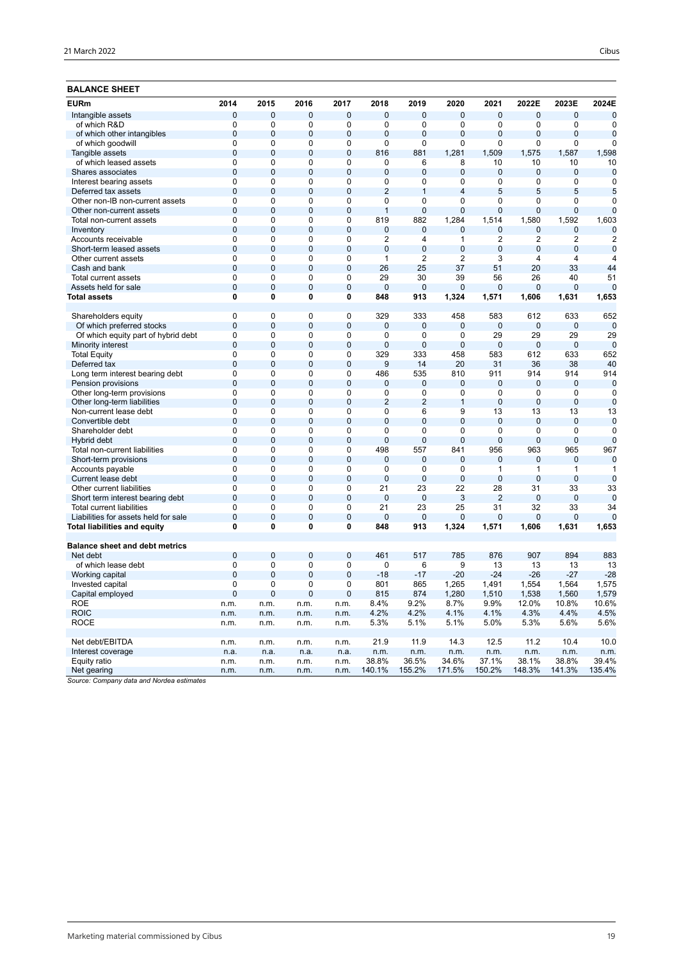| <b>BALANCE SHEET</b>                  |              |                |                |                |                |                |                |                |              |                |                  |
|---------------------------------------|--------------|----------------|----------------|----------------|----------------|----------------|----------------|----------------|--------------|----------------|------------------|
| <b>EURm</b>                           | 2014         | 2015           | 2016           | 2017           | 2018           | 2019           | 2020           | 2021           | 2022E        | 2023E          | 2024E            |
| Intangible assets                     | 0            | 0              | 0              | $\mathbf 0$    | 0              | 0              | $\mathbf{0}$   | $\mathbf 0$    | $\pmb{0}$    | $\mathbf 0$    | $\mathbf 0$      |
| of which R&D                          | 0            | 0              | $\mathbf 0$    | 0              | 0              | 0              | 0              | $\mathbf 0$    | 0            | $\mathbf 0$    | 0                |
| of which other intangibles            | $\mathbf{0}$ | $\overline{0}$ | $\mathbf{0}$   | $\mathbf 0$    | $\overline{0}$ | $\mathbf 0$    | $\overline{0}$ | $\mathbf 0$    | $\mathbf{0}$ | $\overline{0}$ | $\mathbf 0$      |
| of which goodwill                     | 0            | 0              | 0              | 0              | 0              | 0              | 0              | $\mathbf 0$    | $\Omega$     | 0              | 0                |
| Tangible assets                       | 0            | $\mathbf 0$    | $\mathbf 0$    | $\mathbf 0$    | 816            | 881            | 1,281          | 1,509          | 1,575        | 1,587          | 1,598            |
| of which leased assets                | 0            | 0              | 0              | 0              | 0              | 6              | 8              | 10             | 10           | 10             | 10               |
| Shares associates                     | 0            | $\mathbf{0}$   | $\mathbf 0$    | $\mathbf 0$    | $\mathbf 0$    | $\mathbf{0}$   | $\mathbf 0$    | $\mathbf{0}$   | $\mathbf{0}$ | $\mathbf 0$    | $\mathbf 0$      |
| Interest bearing assets               | 0            | 0              | 0              | 0              | 0              | 0              | 0              | 0              | 0            | 0              | 0                |
| Deferred tax assets                   | $\Omega$     | 0              | $\overline{0}$ | $\overline{0}$ | $\overline{2}$ | $\mathbf{1}$   | 4              | 5              | 5            | 5              | 5                |
| Other non-IB non-current assets       | 0            | 0              | $\mathbf 0$    | 0              | 0              | 0              | 0              | 0              | 0            | $\mathbf 0$    | $\mathbf 0$      |
| Other non-current assets              | 0            | 0              | $\overline{0}$ | $\mathbf 0$    | $\mathbf{1}$   | $\mathbf 0$    | $\mathbf 0$    | $\mathbf{0}$   | 0            | 0              | $\overline{0}$   |
| Total non-current assets              | 0            | 0              | $\mathbf 0$    | 0              | 819            | 882            | 1,284          | 1,514          | 1,580        | 1,592          | 1,603            |
| Inventory                             | 0            | $\overline{0}$ | $\overline{0}$ | $\overline{0}$ | $\overline{0}$ | $\mathbf 0$    | 0              | $\mathbf 0$    | $\mathbf{0}$ | 0              | $\mathbf 0$      |
| Accounts receivable                   | 0            | 0              | 0              | $\mathbf 0$    | 2              | 4              | $\mathbf{1}$   | $\overline{2}$ | 2            | $\overline{2}$ | $\boldsymbol{2}$ |
| Short-term leased assets              | 0            | $\mathbf 0$    | $\mathbf 0$    | $\mathbf 0$    | $\overline{0}$ | $\mathbf 0$    | 0              | $\mathbf 0$    | $\mathbf{0}$ | $\mathbf 0$    | $\mathbf 0$      |
| Other current assets                  | 0            | 0              | 0              | 0              | 1              | 2              | 2              | 3              | 4            | 4              | 4                |
| Cash and bank                         | $\mathbf{0}$ | $\mathbf 0$    | $\mathbf 0$    | $\mathbf 0$    | 26             | 25             | 37             | 51             | 20           | 33             | 44               |
| <b>Total current assets</b>           | 0            | 0              | 0              | 0              | 29             | 30             | 39             | 56             | 26           | 40             | 51               |
| Assets held for sale                  | 0            | 0              | $\overline{0}$ | $\mathbf 0$    | $\mathbf 0$    | $\mathbf{0}$   | $\mathbf 0$    | $\mathbf{0}$   | $\Omega$     | $\Omega$       | $\mathbf 0$      |
| <b>Total assets</b>                   | 0            | 0              | 0              | 0              | 848            | 913            | 1,324          | 1,571          | 1,606        | 1,631          | 1,653            |
|                                       |              |                |                |                |                |                |                |                |              |                |                  |
| Shareholders equity                   | 0            | 0              | 0              | $\mathbf 0$    | 329            | 333            | 458            | 583            | 612          | 633            | 652              |
| Of which preferred stocks             | 0            | $\mathbf 0$    | $\overline{0}$ | $\mathbf 0$    | $\mathbf{0}$   | $\mathbf{0}$   | $\mathbf 0$    | $\mathbf{0}$   | $\mathbf{0}$ | $\mathbf 0$    | $\mathbf 0$      |
| Of which equity part of hybrid debt   | 0            | 0              | 0              | 0              | 0              | 0              | 0              | 29             | 29           | 29             | 29               |
| Minority interest                     | 0            | $\mathbf 0$    | $\mathbf 0$    | $\mathbf 0$    | $\mathbf 0$    | $\mathbf 0$    | $\mathbf 0$    | $\mathbf 0$    | $\mathbf{0}$ | 0              | $\mathbf 0$      |
| <b>Total Equity</b>                   | 0            | 0              | 0              | 0              | 329            | 333            | 458            | 583            | 612          | 633            | 652              |
| Deferred tax                          | $\mathbf{0}$ | $\overline{0}$ | $\mathbf{0}$   | $\overline{0}$ | 9              | 14             | 20             | 31             | 36           | 38             | 40               |
| Long term interest bearing debt       | 0            | 0              | 0              | 0              | 486            | 535            | 810            | 911            | 914          | 914            | 914              |
| Pension provisions                    | 0            | 0              | $\overline{0}$ | $\mathbf 0$    | $\mathbf{0}$   | 0              | $\mathbf 0$    | $\mathbf{0}$   | $\Omega$     | $\mathbf 0$    | $\mathbf 0$      |
| Other long-term provisions            | 0            | 0              | $\mathbf 0$    | 0              | 0              | 0              | 0              | 0              | 0            | 0              | 0                |
| Other long-term liabilities           | 0            | 0              | $\overline{0}$ | $\mathbf 0$    | $\overline{2}$ | $\overline{2}$ | $\mathbf{1}$   | $\mathbf{0}$   | $\mathbf{0}$ | $\mathbf 0$    | $\mathbf 0$      |
| Non-current lease debt                | 0            | 0              | $\mathbf 0$    | 0              | 0              | 6              | 9              | 13             | 13           | 13             | 13               |
| Convertible debt                      | 0            | $\overline{0}$ | $\overline{0}$ | $\mathbf 0$    | 0              | $\mathbf{0}$   | $\mathbf 0$    | $\mathbf 0$    | $\mathbf{0}$ | $\mathbf 0$    | $\mathbf 0$      |
| Shareholder debt                      | 0            | 0              | 0              | 0              | 0              | 0              | 0              | $\mathbf 0$    | $\Omega$     | $\mathbf 0$    | $\mathbf 0$      |
| Hybrid debt                           | 0            | $\mathbf 0$    | $\mathbf 0$    | $\mathbf 0$    | $\mathbf 0$    | $\mathbf 0$    | $\overline{0}$ | $\mathbf 0$    | $\mathbf{0}$ | $\mathbf 0$    | $\mathbf 0$      |
| Total non-current liabilities         | 0            | 0              | 0              | 0              | 498            | 557            | 841            | 956            | 963          | 965            | 967              |
| Short-term provisions                 | $\mathbf 0$  | $\mathbf 0$    | $\overline{0}$ | $\overline{0}$ | $\overline{0}$ | $\mathbf 0$    | $\overline{0}$ | $\mathbf 0$    | $\mathbf{0}$ | $\overline{0}$ | $\mathbf 0$      |
| Accounts payable                      | 0            | 0              | 0              | 0              | 0              | 0              | 0              | $\mathbf{1}$   | $\mathbf{1}$ | $\mathbf{1}$   | $\mathbf{1}$     |
| Current lease debt                    | 0            | 0              | $\overline{0}$ | $\mathbf 0$    | $\mathbf 0$    | $\overline{0}$ | $\mathbf 0$    | $\mathbf{0}$   | $\Omega$     | $\mathbf 0$    | $\mathbf 0$      |
| Other current liabilities             | 0            | 0              | $\mathbf 0$    | 0              | 21             | 23             | 22             | 28             | 31           | 33             | 33               |
| Short term interest bearing debt      | 0            | 0              | $\overline{0}$ | $\mathbf 0$    | $\mathbf 0$    | $\mathbf 0$    | 3              | $\overline{2}$ | $\mathbf{0}$ | $\mathbf 0$    | $\mathbf 0$      |
| <b>Total current liabilities</b>      | 0            | 0              | $\mathbf 0$    | 0              | 21             | 23             | 25             | 31             | 32           | 33             | 34               |
| Liabilities for assets held for sale  | 0            | $\overline{0}$ | $\mathbf 0$    | $\mathbf 0$    | $\mathbf{0}$   | $\mathbf 0$    | 0              | $\mathbf{0}$   | $\mathbf{0}$ | $\mathbf 0$    | $\mathbf 0$      |
| Total liabilities and equity          | 0            | 0              | 0              | 0              | 848            | 913            | 1,324          | 1,571          | 1,606        | 1,631          | 1,653            |
|                                       |              |                |                |                |                |                |                |                |              |                |                  |
| <b>Balance sheet and debt metrics</b> |              |                |                |                |                |                |                |                |              |                |                  |
| Net debt                              | $\mathbf{0}$ | $\mathbf 0$    | $\mathbf 0$    | $\mathbf 0$    | 461            | 517            | 785            | 876            | 907          | 894            | 883              |
| of which lease debt                   | 0            | 0              | 0              | 0              | 0              | 6              | 9              | 13             | 13           | 13             | 13               |
| Working capital                       | $\Omega$     | 0              | $\mathbf 0$    | $\mathbf 0$    | $-18$          | $-17$          | $-20$          | $-24$          | $-26$        | $-27$          | $-28$            |
| Invested capital                      | $\Omega$     | 0              | $\Omega$       | $\Omega$       | 801            | 865            | 1,265          | 1,491          | 1,554        | 1,564          | 1,575            |
| Capital employed                      | 0            | 0              | 0              | 0              | 815            | 874            | 1,280          | 1,510          | 1,538        | 1,560          | 1,579            |
| ROE                                   | n.m.         | n.m.           | n.m.           | n.m.           | 8.4%           | 9.2%           | 8.7%           | 9.9%           | 12.0%        | 10.8%          | 10.6%            |
| <b>ROIC</b>                           | n.m.         | n.m.           | n.m.           | n.m.           | 4.2%           | 4.2%           | 4.1%           | 4.1%           | 4.3%         | 4.4%           | 4.5%             |
| <b>ROCE</b>                           | n.m.         | n.m.           | n.m.           | n.m.           | 5.3%           | 5.1%           | 5.1%           | 5.0%           | 5.3%         | 5.6%           | 5.6%             |
|                                       |              |                |                |                |                |                |                |                |              |                |                  |
| Net debt/EBITDA                       | n.m.         | n.m.           | n.m.           | n.m.           | 21.9           | 11.9           | 14.3           | 12.5           | 11.2         | 10.4           | 10.0             |
| Interest coverage                     | n.a.         | n.a.           | n.a.           | n.a.           | n.m.           | n.m.           | n.m.           | n.m.           | n.m.         | n.m.           | n.m.             |
| Equity ratio                          | n.m.         | n.m.           | n.m.           | n.m.           | 38.8%          | 36.5%          | 34.6%          | 37.1%          | 38.1%        | 38.8%          | 39.4%            |
| Net gearing                           | n.m.         | n.m.           | n.m.           | n.m.           | 140.1%         | 155.2%         | 171.5%         | 150.2%         | 148.3%       | 141.3%         | 135.4%           |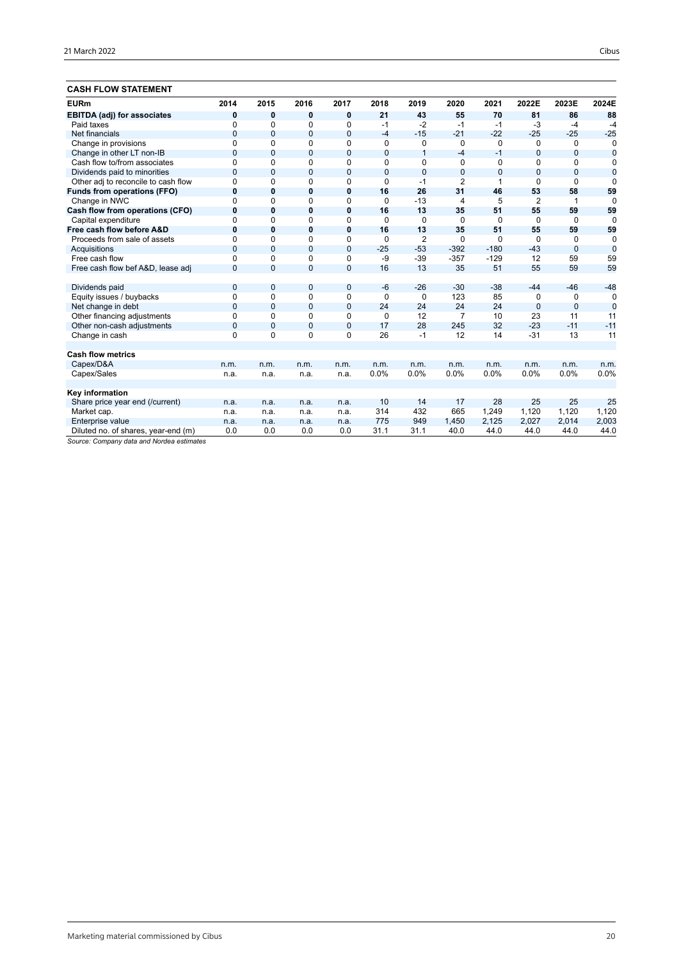## **CASH FLOW STATEMENT**

| <b>EURm</b>                         | 2014         | 2015           | 2016           | 2017         | 2018     | 2019           | 2020           | 2021         | 2022E          | 2023E          | 2024E          |
|-------------------------------------|--------------|----------------|----------------|--------------|----------|----------------|----------------|--------------|----------------|----------------|----------------|
| <b>EBITDA (adj) for associates</b>  | 0            | 0              | 0              | 0            | 21       | 43             | 55             | 70           | 81             | 86             | 88             |
| Paid taxes                          | 0            | $\mathbf 0$    | 0              | $\mathbf 0$  | $-1$     | $-2$           | $-1$           | $-1$         | -3             | $-4$           | $-4$           |
| Net financials                      | $\mathbf{0}$ | $\mathbf{0}$   | 0              | $\mathbf 0$  | $-4$     | $-15$          | $-21$          | $-22$        | $-25$          | $-25$          | $-25$          |
| Change in provisions                | $\Omega$     | $\Omega$       | $\Omega$       | 0            | $\Omega$ | 0              | $\Omega$       | $\Omega$     | $\mathbf 0$    | $\Omega$       | $\Omega$       |
| Change in other LT non-IB           | $\Omega$     | $\Omega$       | $\Omega$       | $\mathbf 0$  | $\Omega$ | $\mathbf{1}$   | -4             | $-1$         | $\Omega$       | $\Omega$       | $\mathbf 0$    |
| Cash flow to/from associates        | $\Omega$     | $\Omega$       | $\Omega$       | $\Omega$     | 0        | $\Omega$       | $\Omega$       | $\Omega$     | $\Omega$       | $\Omega$       | $\mathbf 0$    |
| Dividends paid to minorities        | $\Omega$     | $\mathbf{0}$   | 0              | $\mathbf{0}$ | $\Omega$ | $\mathbf 0$    | $\mathbf 0$    | $\mathbf{0}$ | $\mathbf{0}$   | $\mathbf{0}$   | $\mathbf 0$    |
| Other adj to reconcile to cash flow | $\Omega$     | $\Omega$       | 0              | $\Omega$     | $\Omega$ | $-1$           | $\overline{2}$ | 1            | $\Omega$       | $\Omega$       | $\Omega$       |
| Funds from operations (FFO)         | 0            | $\bf{0}$       | 0              | $\mathbf{0}$ | 16       | 26             | 31             | 46           | 53             | 58             | 59             |
| Change in NWC                       | $\Omega$     | 0              | 0              | $\Omega$     | $\Omega$ | $-13$          | $\overline{4}$ | 5            | $\overline{2}$ | 1              | $\Omega$       |
| Cash flow from operations (CFO)     | $\bf{0}$     | 0              | 0              | $\mathbf{0}$ | 16       | 13             | 35             | 51           | 55             | 59             | 59             |
| Capital expenditure                 | $\Omega$     | 0              | 0              | 0            | $\Omega$ | $\mathbf 0$    | $\Omega$       | $\Omega$     | $\mathbf 0$    | $\Omega$       | $\Omega$       |
| Free cash flow before A&D           | 0            | $\bf{0}$       | $\bf{0}$       | $\mathbf{0}$ | 16       | 13             | 35             | 51           | 55             | 59             | 59             |
| Proceeds from sale of assets        | $\Omega$     | $\Omega$       | 0              | 0            | 0        | $\overline{2}$ | $\Omega$       | $\Omega$     | $\Omega$       | $\Omega$       | $\Omega$       |
| Acquisitions                        | $\mathbf{0}$ | $\overline{0}$ | $\overline{0}$ | $\mathbf{0}$ | $-25$    | $-53$          | $-392$         | $-180$       | $-43$          | $\overline{0}$ | $\overline{0}$ |
| Free cash flow                      | $\Omega$     | $\Omega$       | $\Omega$       | $\mathbf 0$  | -9       | $-39$          | $-357$         | $-129$       | 12             | 59             | 59             |
| Free cash flow bef A&D, lease adj   | $\mathbf{0}$ | 0              | $\mathbf{0}$   | $\mathbf{0}$ | 16       | 13             | 35             | 51           | 55             | 59             | 59             |
| Dividends paid                      | $\mathbf{0}$ | 0              | 0              | $\mathbf 0$  | $-6$     | $-26$          | $-30$          | $-38$        | $-44$          | $-46$          | $-48$          |
| Equity issues / buybacks            | $\Omega$     | $\Omega$       | 0              | $\mathbf 0$  | 0        | $\mathbf 0$    | 123            | 85           | $\mathbf 0$    | $\Omega$       | 0              |
| Net change in debt                  | $\Omega$     | $\Omega$       | $\Omega$       | $\mathbf{0}$ | 24       | 24             | 24             | 24           | $\mathbf{0}$   | $\Omega$       | $\mathbf 0$    |
| Other financing adjustments         | $\Omega$     | $\Omega$       | $\Omega$       | 0            | 0        | 12             | $\overline{7}$ | 10           | 23             | 11             | 11             |
| Other non-cash adjustments          | $\mathbf{0}$ | $\mathbf{0}$   | 0              | $\mathbf{0}$ | 17       | 28             | 245            | 32           | $-23$          | $-11$          | $-11$          |
| Change in cash                      | $\Omega$     | $\Omega$       | $\Omega$       | $\Omega$     | 26       | $-1$           | 12             | 14           | $-31$          | 13             | 11             |
|                                     |              |                |                |              |          |                |                |              |                |                |                |
| <b>Cash flow metrics</b>            |              |                |                |              |          |                |                |              |                |                |                |
| Capex/D&A                           | n.m.         | n.m.           | n.m.           | n.m.         | n.m.     | n.m.           | n.m.           | n.m.         | n.m.           | n.m.           | n.m.           |
| Capex/Sales                         | n.a.         | n.a.           | n.a.           | n.a.         | 0.0%     | 0.0%           | 0.0%           | 0.0%         | 0.0%           | 0.0%           | 0.0%           |
| Key information                     |              |                |                |              |          |                |                |              |                |                |                |
| Share price year end (/current)     | n.a.         | n.a.           | n.a.           | n.a.         | 10       | 14             | 17             | 28           | 25             | 25             | 25             |
| Market cap.                         | n.a.         | n.a.           | n.a.           | n.a.         | 314      | 432            | 665            | 1,249        | 1,120          | 1,120          | 1,120          |
| Enterprise value                    | n.a.         | n.a.           | n.a.           | n.a.         | 775      | 949            | 1.450          | 2,125        | 2,027          | 2,014          | 2,003          |
| Diluted no. of shares, year-end (m) | 0.0          | 0.0            | 0.0            | 0.0          | 31.1     | 31.1           | 40.0           | 44.0         | 44.0           | 44.0           | 44.0           |
|                                     |              |                |                |              |          |                |                |              |                |                |                |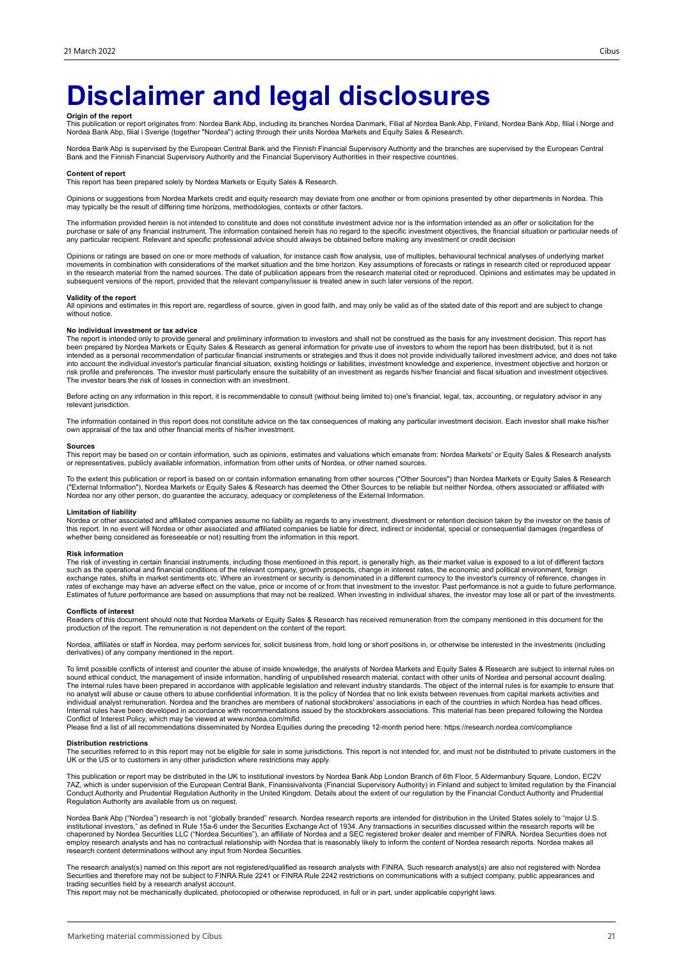# **Disclaimer and legal disclosures**

**Origin of the report**<br>This publication or report originates from: Nordea Bank Abp, including its branches Nordea Danmark, Filial af Nordea Bank Abp, Mordea Bank Abp, filial i Norge and<br>Nordea Bank Abp, filial i Sverige (t

Nordea Bank Abp is supervised by the European Central Bank and the Finnish Financial Supervisory Authority and the branches are supervised by the European Central<br>Bank and the Finnish Financial Supervisory Authority and th

#### **Content of report**

This report has been prepared solely by Nordea Markets or Equity Sales & Research.

Opinions or suggestions from Nordea Markets credit and equity research may deviate from one another or from opinions presented by other departments in Nordea. This may typically be the result of differing time horizons, methodologies, contexts or other factors.

The information provided herein is not intended to constitute and does not constitute investment advice nor is the information intended as an offer or solicitation for the purchase or sale of any financial instrument. The information contained herein has no regard to the specific investment objectives, the financial situation or particular needs of any particular recipient. Relevant and specific professional advice should always be obtained before making any investment or credit decision

Opinions or ratings are based on one or more methods of valuation, for instance cash flow analysis, use of multiples, behavioural technical analyses of underlying market movements in combination with considerations of the market situation and the time horizon. Key assumptions of forecasts or ratings in research cited or reproduced appear<br>in the research material from the named sources. The subsequent versions of the report, provided that the relevant company/issuer is treated anew in such later versions of the report.

### **Validity of the report**

All opinions and estimates in this report are, regardless of source, given in good faith, and may only be valid as of the stated date of this report and are subject to change without notice.

### **No individual investment or tax advice**

The report is intended only to provide general and preliminary information to investors and shall not be construed as the basis for any investment decision. This report has<br>been prepared by Nordea Markets or Equity Sales & into account the individual investor's particular financial situation, existing holdings or liabilities, investment knowledge and experience, investment objective and horizon or<br>risk profile and preferences. The investor m The investor bears the risk of losses in connection with an investment.

Before acting on any information in this report, it is recommendable to consult (without being limited to) one's financial, legal, tax, accounting, or regulatory advisor in any relevant jurisdiction.

The information contained in this report does not constitute advice on the tax consequences of making any particular investment decision. Each investor shall make his/her own appraisal of the tax and other financial merits of his/her investment.

### **Sources**

This report may be based on or contain information, such as opinions, estimates and valuations which emanate from: Nordea Markets' or Equity Sales & Research analysts or representatives, publicly available information, information from other units of Nordea, or other named sources.

To the extent this publication or report is based on or contain information emanating from other sources ("Other Sources") than Nordea Markets or Equity Sales & Research<br>("External Information"), Nordea Markets or Equity S Nordea nor any other person, do guarantee the accuracy, adequacy or completeness of the External Information.

### **Limitation of liability**

Nordea or other associated and affiliated companies assume no liability as regards to any investment, divestment or retention decision taken by the investor on the basis of<br>this report. In no event will Nordea or other ass whether being considered as foreseeable or not) resulting from the information in this report.

### **Risk information**

The risk of investing in certain financial instruments, including those mentioned in this report, is generally high, as their market value is exposed to a lot of different factors<br>such as the operational and financial cond exchange rates, shifts in market sentiments etc. Where an investment or security is denominated in a different currency to the investor's currency of reference, changes in<br>rates of exchange may have an adverse effect on th Estimates of future performance are based on assumptions that may not be realized. When investing in individual shares, the investor may lose all or part of the investments.

### **Conflicts of interest**

Readers of this document should note that Nordea Markets or Equity Sales & Research has received remuneration from the company mentioned in this document for the<br>production of the report. The remuneration is not dependent

Nordea, affiliates or staff in Nordea, may perform services for, solicit business from, hold long or short positions in, or otherwise be interested in the investments (including derivatives) of any company mentioned in the report.

To limit possible conflicts of interest and counter the abuse of inside knowledge, the analysts of Nordea Markets and Equity Sales & Research are subject to internal rules on sound ethical conduct, the management of inside information, handling of unpublished research material, contact with other units of Nordea and personal account dealing.<br>The internal rules have been prepared in accordance w individual analyst remuneration. Nordea and the branches are members of national stockbrokers' associations in each of the countries in which Nordea has head offices.<br>Internal rules have been developed in accordance with r Conflict of Interest Policy, which may be viewed at www.nordea.com/mifid.

Please find a list of all recommendations disseminated by Nordea Equities during the preceding 12-month period here: https://research.nordea.com/compliance

#### **Distribution restrictions**

The securities referred to in this report may not be eligible for sale in some jurisdictions. This report is not intended for, and must not be distributed to private customers in the<br>UK or the US or to customers in any oth

This publication or report may be distributed in the UK to institutional investors by Nordea Bank Abp London Branch of 6th Floor, 5 Aldermanbury Square, London, EC2V<br>7AZ, which is under supervision of the European Central Conduct Authority and Prudential Regulation Authority in the United Kingdom. Details about the extent of our regulation by the Financial Conduct Authority and Prudential Regulation Authority are available from us on request.

Nordea Bank Abp ("Nordea") research is not "globally branded" research. Nordea research reports are intended for distribution in the United States solely to "major U.S. institutional investors," as defined in Rule 15a-6 under the Securities Exchange Act of 1934. Any transactions in securities discussed within the research reports will be<br>chaperoned by Nordea Securities LLC ("Nordea Securi employ research analysts and has no contractual relationship with Nordea that is reasonably likely to inform the content of Nordea research reports. Nordea makes all research content determinations without any input from Nordea Securities.

The research analyst(s) named on this report are not registered/qualified as research analysts with FINRA. Such research analyst(s) are also not registered with Nordea Securities and therefore may not be subject to FINRA Rule 2241 or FINRA Rule 2242 restrictions on communications with a subject company, public appearances and trading securities held by a research analyst account.

This report may not be mechanically duplicated, photocopied or otherwise reproduced, in full or in part, under applicable copyright laws.